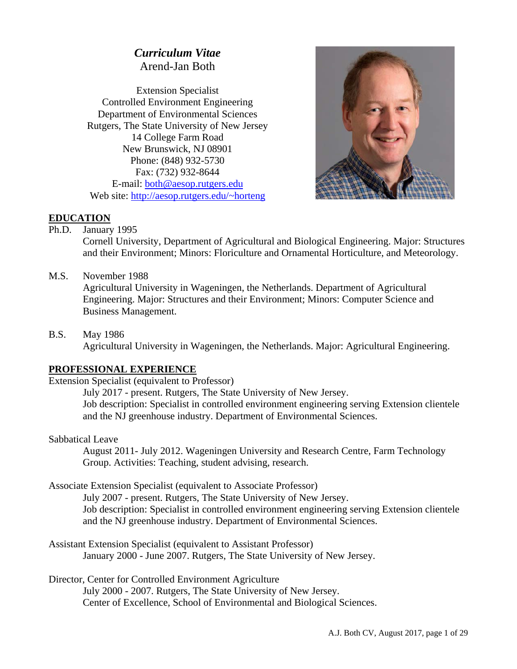# *Curriculum Vitae*  Arend-Jan Both

Extension Specialist Controlled Environment Engineering Department of Environmental Sciences Rutgers, The State University of New Jersey 14 College Farm Road New Brunswick, NJ 08901 Phone: (848) 932-5730 Fax: (732) 932-8644 E-mail: both@aesop.rutgers.edu Web site: http://aesop.rutgers.edu/~horteng



#### **EDUCATION**

Ph.D. January 1995

Cornell University, Department of Agricultural and Biological Engineering. Major: Structures and their Environment; Minors: Floriculture and Ornamental Horticulture, and Meteorology.

M.S. November 1988

Agricultural University in Wageningen, the Netherlands. Department of Agricultural Engineering. Major: Structures and their Environment; Minors: Computer Science and Business Management.

B.S. May 1986 Agricultural University in Wageningen, the Netherlands. Major: Agricultural Engineering.

## **PROFESSIONAL EXPERIENCE**

Extension Specialist (equivalent to Professor)

 July 2017 - present. Rutgers, The State University of New Jersey. Job description: Specialist in controlled environment engineering serving Extension clientele and the NJ greenhouse industry. Department of Environmental Sciences.

Sabbatical Leave

 August 2011- July 2012. Wageningen University and Research Centre, Farm Technology Group. Activities: Teaching, student advising, research.

Associate Extension Specialist (equivalent to Associate Professor)

 July 2007 - present. Rutgers, The State University of New Jersey. Job description: Specialist in controlled environment engineering serving Extension clientele and the NJ greenhouse industry. Department of Environmental Sciences.

Assistant Extension Specialist (equivalent to Assistant Professor) January 2000 - June 2007. Rutgers, The State University of New Jersey.

Director, Center for Controlled Environment Agriculture

 July 2000 - 2007. Rutgers, The State University of New Jersey. Center of Excellence, School of Environmental and Biological Sciences.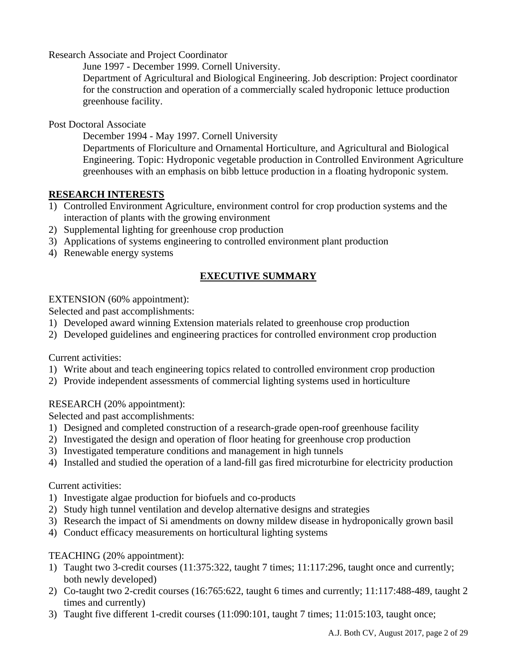Research Associate and Project Coordinator

June 1997 - December 1999. Cornell University.

Department of Agricultural and Biological Engineering. Job description: Project coordinator for the construction and operation of a commercially scaled hydroponic lettuce production greenhouse facility.

Post Doctoral Associate

December 1994 - May 1997. Cornell University

Departments of Floriculture and Ornamental Horticulture, and Agricultural and Biological Engineering. Topic: Hydroponic vegetable production in Controlled Environment Agriculture greenhouses with an emphasis on bibb lettuce production in a floating hydroponic system.

### **RESEARCH INTERESTS**

- 1) Controlled Environment Agriculture, environment control for crop production systems and the interaction of plants with the growing environment
- 2) Supplemental lighting for greenhouse crop production
- 3) Applications of systems engineering to controlled environment plant production
- 4) Renewable energy systems

## **EXECUTIVE SUMMARY**

### EXTENSION (60% appointment):

Selected and past accomplishments:

- 1) Developed award winning Extension materials related to greenhouse crop production
- 2) Developed guidelines and engineering practices for controlled environment crop production

#### Current activities:

- 1) Write about and teach engineering topics related to controlled environment crop production
- 2) Provide independent assessments of commercial lighting systems used in horticulture

## RESEARCH (20% appointment):

Selected and past accomplishments:

- 1) Designed and completed construction of a research-grade open-roof greenhouse facility
- 2) Investigated the design and operation of floor heating for greenhouse crop production
- 3) Investigated temperature conditions and management in high tunnels
- 4) Installed and studied the operation of a land-fill gas fired microturbine for electricity production

#### Current activities:

- 1) Investigate algae production for biofuels and co-products
- 2) Study high tunnel ventilation and develop alternative designs and strategies
- 3) Research the impact of Si amendments on downy mildew disease in hydroponically grown basil
- 4) Conduct efficacy measurements on horticultural lighting systems

## TEACHING (20% appointment):

- 1) Taught two 3-credit courses (11:375:322, taught 7 times; 11:117:296, taught once and currently; both newly developed)
- 2) Co-taught two 2-credit courses (16:765:622, taught 6 times and currently; 11:117:488-489, taught 2 times and currently)
- 3) Taught five different 1-credit courses (11:090:101, taught 7 times; 11:015:103, taught once;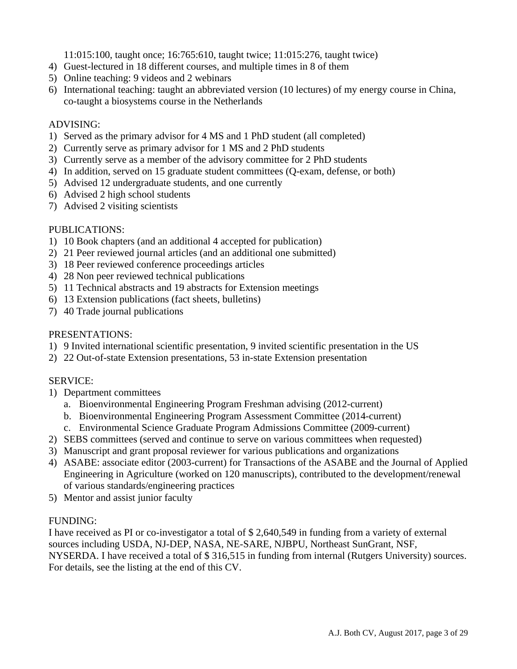11:015:100, taught once; 16:765:610, taught twice; 11:015:276, taught twice)

- 4) Guest-lectured in 18 different courses, and multiple times in 8 of them
- 5) Online teaching: 9 videos and 2 webinars
- 6) International teaching: taught an abbreviated version (10 lectures) of my energy course in China, co-taught a biosystems course in the Netherlands

### ADVISING:

- 1) Served as the primary advisor for 4 MS and 1 PhD student (all completed)
- 2) Currently serve as primary advisor for 1 MS and 2 PhD students
- 3) Currently serve as a member of the advisory committee for 2 PhD students
- 4) In addition, served on 15 graduate student committees (Q-exam, defense, or both)
- 5) Advised 12 undergraduate students, and one currently
- 6) Advised 2 high school students
- 7) Advised 2 visiting scientists

## PUBLICATIONS:

- 1) 10 Book chapters (and an additional 4 accepted for publication)
- 2) 21 Peer reviewed journal articles (and an additional one submitted)
- 3) 18 Peer reviewed conference proceedings articles
- 4) 28 Non peer reviewed technical publications
- 5) 11 Technical abstracts and 19 abstracts for Extension meetings
- 6) 13 Extension publications (fact sheets, bulletins)
- 7) 40 Trade journal publications

### PRESENTATIONS:

- 1) 9 Invited international scientific presentation, 9 invited scientific presentation in the US
- 2) 22 Out-of-state Extension presentations, 53 in-state Extension presentation

## SERVICE:

- 1) Department committees
	- a. Bioenvironmental Engineering Program Freshman advising (2012-current)
	- b. Bioenvironmental Engineering Program Assessment Committee (2014-current)
	- c. Environmental Science Graduate Program Admissions Committee (2009-current)
- 2) SEBS committees (served and continue to serve on various committees when requested)
- 3) Manuscript and grant proposal reviewer for various publications and organizations
- 4) ASABE: associate editor (2003-current) for Transactions of the ASABE and the Journal of Applied Engineering in Agriculture (worked on 120 manuscripts), contributed to the development/renewal of various standards/engineering practices
- 5) Mentor and assist junior faculty

## FUNDING:

I have received as PI or co-investigator a total of \$ 2,640,549 in funding from a variety of external sources including USDA, NJ-DEP, NASA, NE-SARE, NJBPU, Northeast SunGrant, NSF, NYSERDA. I have received a total of \$ 316,515 in funding from internal (Rutgers University) sources. For details, see the listing at the end of this CV.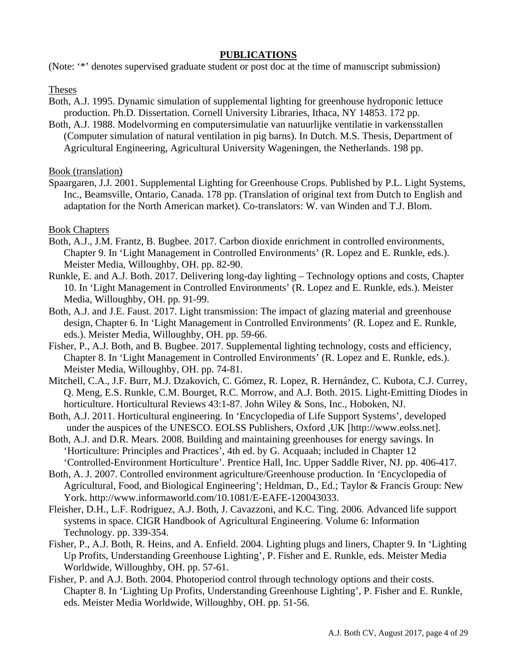#### **PUBLICATIONS**

(Note: '\*' denotes supervised graduate student or post doc at the time of manuscript submission)

Theses

- Both, A.J. 1995. Dynamic simulation of supplemental lighting for greenhouse hydroponic lettuce production. Ph.D. Dissertation. Cornell University Libraries, Ithaca, NY 14853. 172 pp.
- Both, A.J. 1988. Modelvorming en computersimulatie van natuurlijke ventilatie in varkensstallen (Computer simulation of natural ventilation in pig barns). In Dutch. M.S. Thesis, Department of Agricultural Engineering, Agricultural University Wageningen, the Netherlands. 198 pp.

Book (translation)

Spaargaren, J.J. 2001. Supplemental Lighting for Greenhouse Crops. Published by P.L. Light Systems, Inc., Beamsville, Ontario, Canada. 178 pp. (Translation of original text from Dutch to English and adaptation for the North American market). Co-translators: W. van Winden and T.J. Blom.

Book Chapters

- Both, A.J., J.M. Frantz, B. Bugbee. 2017. Carbon dioxide enrichment in controlled environments, Chapter 9. In 'Light Management in Controlled Environments' (R. Lopez and E. Runkle, eds.). Meister Media, Willoughby, OH. pp. 82-90.
- Runkle, E. and A.J. Both. 2017. Delivering long-day lighting Technology options and costs, Chapter 10. In 'Light Management in Controlled Environments' (R. Lopez and E. Runkle, eds.). Meister Media, Willoughby, OH. pp. 91-99.
- Both, A.J. and J.E. Faust. 2017. Light transmission: The impact of glazing material and greenhouse design, Chapter 6. In 'Light Management in Controlled Environments' (R. Lopez and E. Runkle, eds.). Meister Media, Willoughby, OH. pp. 59-66.
- Fisher, P., A.J. Both, and B. Bugbee. 2017. Supplemental lighting technology, costs and efficiency, Chapter 8. In 'Light Management in Controlled Environments' (R. Lopez and E. Runkle, eds.). Meister Media, Willoughby, OH. pp. 74-81.
- Mitchell, C.A., J.F. Burr, M.J. Dzakovich, C. Gómez, R. Lopez, R. Hernández, C. Kubota, C.J. Currey, Q. Meng, E.S. Runkle, C.M. Bourget, R.C. Morrow, and A.J. Both. 2015. Light-Emitting Diodes in horticulture. Horticultural Reviews 43:1-87. John Wiley & Sons, Inc., Hoboken, NJ.
- Both, A.J. 2011. Horticultural engineering. In 'Encyclopedia of Life Support Systems', developed under the auspices of the UNESCO. EOLSS Publishers, Oxford ,UK [http://www.eolss.net].
- Both, A.J. and D.R. Mears. 2008. Building and maintaining greenhouses for energy savings. In 'Horticulture: Principles and Practices', 4th ed. by G. Acquaah; included in Chapter 12 'Controlled-Environment Horticulture'. Prentice Hall, Inc. Upper Saddle River, NJ. pp. 406-417.
- Both, A. J. 2007. Controlled environment agriculture/Greenhouse production. In 'Encyclopedia of Agricultural, Food, and Biological Engineering'; Heldman, D., Ed.; Taylor & Francis Group: New York. http://www.informaworld.com/10.1081/E-EAFE-120043033.
- Fleisher, D.H., L.F. Rodriguez, A.J. Both, J. Cavazzoni, and K.C. Ting. 2006. Advanced life support systems in space. CIGR Handbook of Agricultural Engineering. Volume 6: Information Technology. pp. 339-354.
- Fisher, P., A.J. Both, R. Heins, and A. Enfield. 2004. Lighting plugs and liners, Chapter 9. In 'Lighting Up Profits, Understanding Greenhouse Lighting', P. Fisher and E. Runkle, eds. Meister Media Worldwide, Willoughby, OH. pp. 57-61.
- Fisher, P. and A.J. Both. 2004. Photoperiod control through technology options and their costs. Chapter 8. In 'Lighting Up Profits, Understanding Greenhouse Lighting', P. Fisher and E. Runkle, eds. Meister Media Worldwide, Willoughby, OH. pp. 51-56.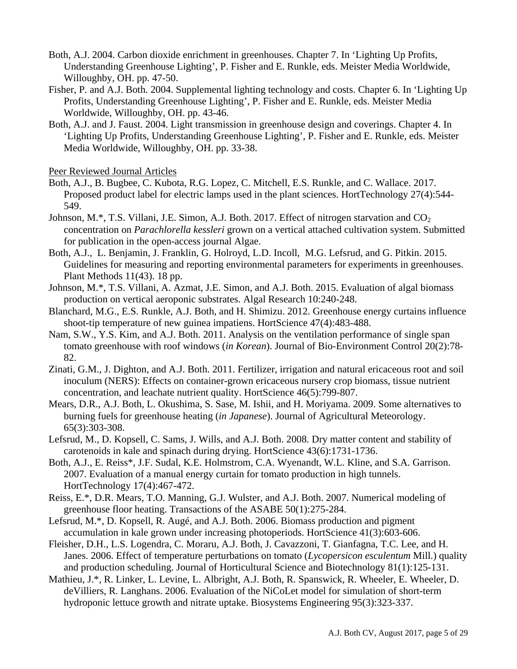- Both, A.J. 2004. Carbon dioxide enrichment in greenhouses. Chapter 7. In 'Lighting Up Profits, Understanding Greenhouse Lighting', P. Fisher and E. Runkle, eds. Meister Media Worldwide, Willoughby, OH. pp. 47-50.
- Fisher, P. and A.J. Both. 2004. Supplemental lighting technology and costs. Chapter 6. In 'Lighting Up Profits, Understanding Greenhouse Lighting', P. Fisher and E. Runkle, eds. Meister Media Worldwide, Willoughby, OH. pp. 43-46.
- Both, A.J. and J. Faust. 2004. Light transmission in greenhouse design and coverings. Chapter 4. In 'Lighting Up Profits, Understanding Greenhouse Lighting', P. Fisher and E. Runkle, eds. Meister Media Worldwide, Willoughby, OH. pp. 33-38.

Peer Reviewed Journal Articles

- Both, A.J., B. Bugbee, C. Kubota, R.G. Lopez, C. Mitchell, E.S. Runkle, and C. Wallace. 2017. Proposed product label for electric lamps used in the plant sciences. HortTechnology 27(4):544- 549.
- Johnson, M.\*, T.S. Villani, J.E. Simon, A.J. Both. 2017. Effect of nitrogen starvation and  $CO<sub>2</sub>$ concentration on *Parachlorella kessleri* grown on a vertical attached cultivation system. Submitted for publication in the open-access journal Algae.
- Both, A.J., L. Benjamin, J. Franklin, G. Holroyd, L.D. Incoll, M.G. Lefsrud, and G. Pitkin. 2015. Guidelines for measuring and reporting environmental parameters for experiments in greenhouses. Plant Methods 11(43). 18 pp.
- Johnson, M.\*, T.S. Villani, A. Azmat, J.E. Simon, and A.J. Both. 2015. Evaluation of algal biomass production on vertical aeroponic substrates. Algal Research 10:240-248.
- Blanchard, M.G., E.S. Runkle, A.J. Both, and H. Shimizu. 2012. Greenhouse energy curtains influence shoot-tip temperature of new guinea impatiens. HortScience 47(4):483-488.
- Nam, S.W., Y.S. Kim, and A.J. Both. 2011. Analysis on the ventilation performance of single span tomato greenhouse with roof windows (*in Korean*). Journal of Bio-Environment Control 20(2):78- 82.
- Zinati, G.M., J. Dighton, and A.J. Both. 2011. Fertilizer, irrigation and natural ericaceous root and soil inoculum (NERS): Effects on container-grown ericaceous nursery crop biomass, tissue nutrient concentration, and leachate nutrient quality. HortScience 46(5):799-807.
- Mears, D.R., A.J. Both, L. Okushima, S. Sase, M. Ishii, and H. Moriyama. 2009. Some alternatives to burning fuels for greenhouse heating (*in Japanese*). Journal of Agricultural Meteorology. 65(3):303-308.
- Lefsrud, M., D. Kopsell, C. Sams, J. Wills, and A.J. Both. 2008. Dry matter content and stability of carotenoids in kale and spinach during drying. HortScience 43(6):1731-1736.
- Both, A.J., E. Reiss\*, J.F. Sudal, K.E. Holmstrom, C.A. Wyenandt, W.L. Kline, and S.A. Garrison. 2007. Evaluation of a manual energy curtain for tomato production in high tunnels. HortTechnology 17(4):467-472.
- Reiss, E.\*, D.R. Mears, T.O. Manning, G.J. Wulster, and A.J. Both. 2007. Numerical modeling of greenhouse floor heating. Transactions of the ASABE 50(1):275-284.
- Lefsrud, M.\*, D. Kopsell, R. Augé, and A.J. Both. 2006. Biomass production and pigment accumulation in kale grown under increasing photoperiods. HortScience 41(3):603-606.
- Fleisher, D.H., L.S. Logendra, C. Moraru, A.J. Both, J. Cavazzoni, T. Gianfagna, T.C. Lee, and H. Janes. 2006. Effect of temperature perturbations on tomato (*Lycopersicon esculentum* Mill.) quality and production scheduling. Journal of Horticultural Science and Biotechnology 81(1):125-131.
- Mathieu, J.\*, R. Linker, L. Levine, L. Albright, A.J. Both, R. Spanswick, R. Wheeler, E. Wheeler, D. deVilliers, R. Langhans. 2006. Evaluation of the NiCoLet model for simulation of short-term hydroponic lettuce growth and nitrate uptake. Biosystems Engineering 95(3):323-337.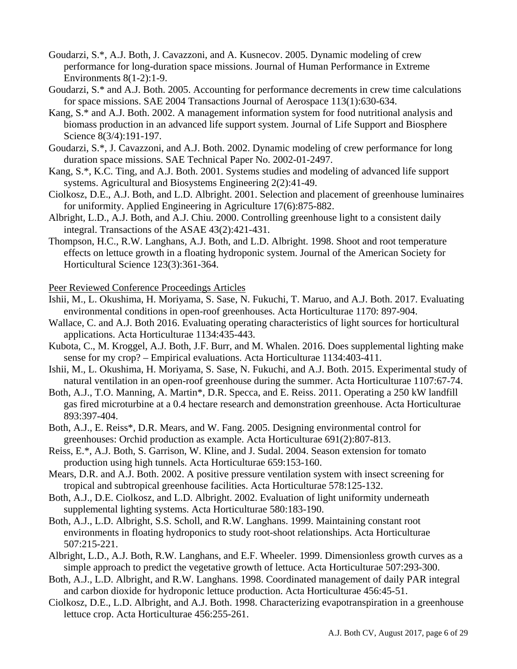- Goudarzi, S.\*, A.J. Both, J. Cavazzoni, and A. Kusnecov. 2005. Dynamic modeling of crew performance for long-duration space missions. Journal of Human Performance in Extreme Environments 8(1-2):1-9.
- Goudarzi, S.\* and A.J. Both. 2005. Accounting for performance decrements in crew time calculations for space missions. SAE 2004 Transactions Journal of Aerospace 113(1):630-634.
- Kang, S.\* and A.J. Both. 2002. A management information system for food nutritional analysis and biomass production in an advanced life support system. Journal of Life Support and Biosphere Science 8(3/4):191-197.
- Goudarzi, S.\*, J. Cavazzoni, and A.J. Both. 2002. Dynamic modeling of crew performance for long duration space missions. SAE Technical Paper No. 2002-01-2497.
- Kang, S.\*, K.C. Ting, and A.J. Both. 2001. Systems studies and modeling of advanced life support systems. Agricultural and Biosystems Engineering 2(2):41-49.
- Ciolkosz, D.E., A.J. Both, and L.D. Albright. 2001. Selection and placement of greenhouse luminaires for uniformity. Applied Engineering in Agriculture 17(6):875-882.
- Albright, L.D., A.J. Both, and A.J. Chiu. 2000. Controlling greenhouse light to a consistent daily integral. Transactions of the ASAE 43(2):421-431.
- Thompson, H.C., R.W. Langhans, A.J. Both, and L.D. Albright. 1998. Shoot and root temperature effects on lettuce growth in a floating hydroponic system. Journal of the American Society for Horticultural Science 123(3):361-364.

Peer Reviewed Conference Proceedings Articles

- Ishii, M., L. Okushima, H. Moriyama, S. Sase, N. Fukuchi, T. Maruo, and A.J. Both. 2017. Evaluating environmental conditions in open-roof greenhouses. Acta Horticulturae 1170: 897-904.
- Wallace, C. and A.J. Both 2016. Evaluating operating characteristics of light sources for horticultural applications. Acta Horticulturae 1134:435-443.
- Kubota, C., M. Kroggel, A.J. Both, J.F. Burr, and M. Whalen. 2016. Does supplemental lighting make sense for my crop? – Empirical evaluations. Acta Horticulturae 1134:403-411.
- Ishii, M., L. Okushima, H. Moriyama, S. Sase, N. Fukuchi, and A.J. Both. 2015. Experimental study of natural ventilation in an open-roof greenhouse during the summer. Acta Horticulturae 1107:67-74.
- Both, A.J., T.O. Manning, A. Martin\*, D.R. Specca, and E. Reiss. 2011. Operating a 250 kW landfill gas fired microturbine at a 0.4 hectare research and demonstration greenhouse. Acta Horticulturae 893:397-404.
- Both, A.J., E. Reiss\*, D.R. Mears, and W. Fang. 2005. Designing environmental control for greenhouses: Orchid production as example. Acta Horticulturae 691(2):807-813.
- Reiss, E.\*, A.J. Both, S. Garrison, W. Kline, and J. Sudal. 2004. Season extension for tomato production using high tunnels. Acta Horticulturae 659:153-160.
- Mears, D.R. and A.J. Both. 2002. A positive pressure ventilation system with insect screening for tropical and subtropical greenhouse facilities. Acta Horticulturae 578:125-132.
- Both, A.J., D.E. Ciolkosz, and L.D. Albright. 2002. Evaluation of light uniformity underneath supplemental lighting systems. Acta Horticulturae 580:183-190.
- Both, A.J., L.D. Albright, S.S. Scholl, and R.W. Langhans. 1999. Maintaining constant root environments in floating hydroponics to study root-shoot relationships. Acta Horticulturae 507:215-221.
- Albright, L.D., A.J. Both, R.W. Langhans, and E.F. Wheeler. 1999. Dimensionless growth curves as a simple approach to predict the vegetative growth of lettuce. Acta Horticulturae 507:293-300.
- Both, A.J., L.D. Albright, and R.W. Langhans. 1998. Coordinated management of daily PAR integral and carbon dioxide for hydroponic lettuce production. Acta Horticulturae 456:45-51.
- Ciolkosz, D.E., L.D. Albright, and A.J. Both. 1998. Characterizing evapotranspiration in a greenhouse lettuce crop. Acta Horticulturae 456:255-261.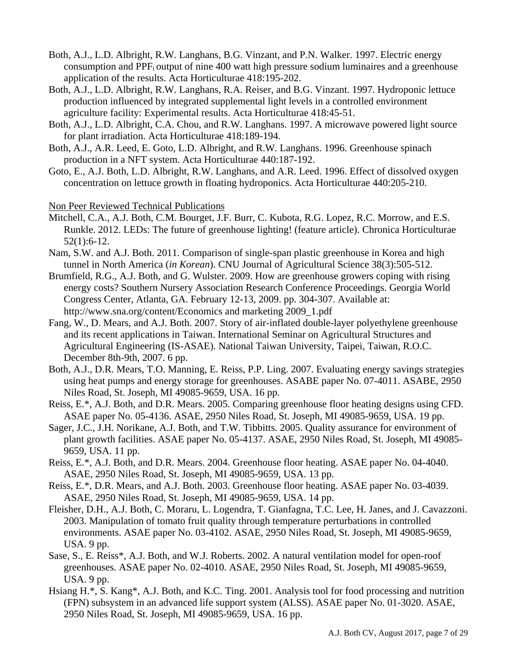- Both, A.J., L.D. Albright, R.W. Langhans, B.G. Vinzant, and P.N. Walker. 1997. Electric energy consumption and PPFi output of nine 400 watt high pressure sodium luminaires and a greenhouse application of the results. Acta Horticulturae 418:195-202.
- Both, A.J., L.D. Albright, R.W. Langhans, R.A. Reiser, and B.G. Vinzant. 1997. Hydroponic lettuce production influenced by integrated supplemental light levels in a controlled environment agriculture facility: Experimental results. Acta Horticulturae 418:45-51.
- Both, A.J., L.D. Albright, C.A. Chou, and R.W. Langhans. 1997. A microwave powered light source for plant irradiation. Acta Horticulturae 418:189-194.
- Both, A.J., A.R. Leed, E. Goto, L.D. Albright, and R.W. Langhans. 1996. Greenhouse spinach production in a NFT system. Acta Horticulturae 440:187-192.
- Goto, E., A.J. Both, L.D. Albright, R.W. Langhans, and A.R. Leed. 1996. Effect of dissolved oxygen concentration on lettuce growth in floating hydroponics. Acta Horticulturae 440:205-210.

Non Peer Reviewed Technical Publications

- Mitchell, C.A., A.J. Both, C.M. Bourget, J.F. Burr, C. Kubota, R.G. Lopez, R.C. Morrow, and E.S. Runkle. 2012. LEDs: The future of greenhouse lighting! (feature article). Chronica Horticulturae 52(1):6-12.
- Nam, S.W. and A.J. Both. 2011. Comparison of single-span plastic greenhouse in Korea and high tunnel in North America (*in Korean*). CNU Journal of Agricultural Science 38(3):505-512.
- Brumfield, R.G., A.J. Both, and G. Wulster. 2009. How are greenhouse growers coping with rising energy costs? Southern Nursery Association Research Conference Proceedings. Georgia World Congress Center, Atlanta, GA. February 12-13, 2009. pp. 304-307. Available at: http://www.sna.org/content/Economics and marketing 2009\_1.pdf
- Fang, W., D. Mears, and A.J. Both. 2007. Story of air-inflated double-layer polyethylene greenhouse and its recent applications in Taiwan. International Seminar on Agricultural Structures and Agricultural Engineering (IS-ASAE). National Taiwan University, Taipei, Taiwan, R.O.C. December 8th-9th, 2007. 6 pp.
- Both, A.J., D.R. Mears, T.O. Manning, E. Reiss, P.P. Ling. 2007. Evaluating energy savings strategies using heat pumps and energy storage for greenhouses. ASABE paper No. 07-4011. ASABE, 2950 Niles Road, St. Joseph, MI 49085-9659, USA. 16 pp.
- Reiss, E.\*, A.J. Both, and D.R. Mears. 2005. Comparing greenhouse floor heating designs using CFD. ASAE paper No. 05-4136. ASAE, 2950 Niles Road, St. Joseph, MI 49085-9659, USA. 19 pp.
- Sager, J.C., J.H. Norikane, A.J. Both, and T.W. Tibbitts. 2005. Quality assurance for environment of plant growth facilities. ASAE paper No. 05-4137. ASAE, 2950 Niles Road, St. Joseph, MI 49085- 9659, USA. 11 pp.
- Reiss, E.\*, A.J. Both, and D.R. Mears. 2004. Greenhouse floor heating. ASAE paper No. 04-4040. ASAE, 2950 Niles Road, St. Joseph, MI 49085-9659, USA. 13 pp.
- Reiss, E.\*, D.R. Mears, and A.J. Both. 2003. Greenhouse floor heating. ASAE paper No. 03-4039. ASAE, 2950 Niles Road, St. Joseph, MI 49085-9659, USA. 14 pp.
- Fleisher, D.H., A.J. Both, C. Moraru, L. Logendra, T. Gianfagna, T.C. Lee, H. Janes, and J. Cavazzoni. 2003. Manipulation of tomato fruit quality through temperature perturbations in controlled environments. ASAE paper No. 03-4102. ASAE, 2950 Niles Road, St. Joseph, MI 49085-9659, USA. 9 pp.
- Sase, S., E. Reiss\*, A.J. Both, and W.J. Roberts. 2002. A natural ventilation model for open-roof greenhouses. ASAE paper No. 02-4010. ASAE, 2950 Niles Road, St. Joseph, MI 49085-9659, USA. 9 pp.
- Hsiang H.\*, S. Kang\*, A.J. Both, and K.C. Ting. 2001. Analysis tool for food processing and nutrition (FPN) subsystem in an advanced life support system (ALSS). ASAE paper No. 01-3020. ASAE, 2950 Niles Road, St. Joseph, MI 49085-9659, USA. 16 pp.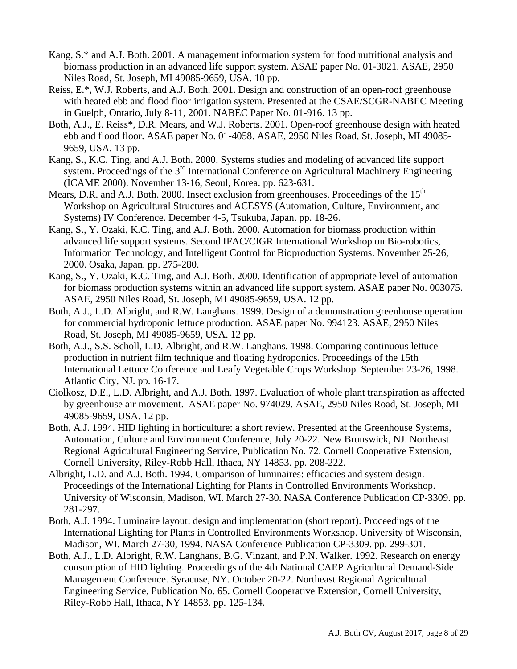- Kang, S.\* and A.J. Both. 2001. A management information system for food nutritional analysis and biomass production in an advanced life support system. ASAE paper No. 01-3021. ASAE, 2950 Niles Road, St. Joseph, MI 49085-9659, USA. 10 pp.
- Reiss, E.\*, W.J. Roberts, and A.J. Both. 2001. Design and construction of an open-roof greenhouse with heated ebb and flood floor irrigation system. Presented at the CSAE/SCGR-NABEC Meeting in Guelph, Ontario, July 8-11, 2001. NABEC Paper No. 01-916. 13 pp.
- Both, A.J., E. Reiss\*, D.R. Mears, and W.J. Roberts. 2001. Open-roof greenhouse design with heated ebb and flood floor. ASAE paper No. 01-4058. ASAE, 2950 Niles Road, St. Joseph, MI 49085- 9659, USA. 13 pp.
- Kang, S., K.C. Ting, and A.J. Both. 2000. Systems studies and modeling of advanced life support system. Proceedings of the 3<sup>rd</sup> International Conference on Agricultural Machinery Engineering (ICAME 2000). November 13-16, Seoul, Korea. pp. 623-631.
- Mears, D.R. and A.J. Both. 2000. Insect exclusion from greenhouses. Proceedings of the 15<sup>th</sup> Workshop on Agricultural Structures and ACESYS (Automation, Culture, Environment, and Systems) IV Conference. December 4-5, Tsukuba, Japan. pp. 18-26.
- Kang, S., Y. Ozaki, K.C. Ting, and A.J. Both. 2000. Automation for biomass production within advanced life support systems. Second IFAC/CIGR International Workshop on Bio-robotics, Information Technology, and Intelligent Control for Bioproduction Systems. November 25-26, 2000. Osaka, Japan. pp. 275-280.
- Kang, S., Y. Ozaki, K.C. Ting, and A.J. Both. 2000. Identification of appropriate level of automation for biomass production systems within an advanced life support system. ASAE paper No. 003075. ASAE, 2950 Niles Road, St. Joseph, MI 49085-9659, USA. 12 pp.
- Both, A.J., L.D. Albright, and R.W. Langhans. 1999. Design of a demonstration greenhouse operation for commercial hydroponic lettuce production. ASAE paper No. 994123. ASAE, 2950 Niles Road, St. Joseph, MI 49085-9659, USA. 12 pp.
- Both, A.J., S.S. Scholl, L.D. Albright, and R.W. Langhans. 1998. Comparing continuous lettuce production in nutrient film technique and floating hydroponics. Proceedings of the 15th International Lettuce Conference and Leafy Vegetable Crops Workshop. September 23-26, 1998. Atlantic City, NJ. pp. 16-17.
- Ciolkosz, D.E., L.D. Albright, and A.J. Both. 1997. Evaluation of whole plant transpiration as affected by greenhouse air movement. ASAE paper No. 974029. ASAE, 2950 Niles Road, St. Joseph, MI 49085-9659, USA. 12 pp.
- Both, A.J. 1994. HID lighting in horticulture: a short review. Presented at the Greenhouse Systems, Automation, Culture and Environment Conference, July 20-22. New Brunswick, NJ. Northeast Regional Agricultural Engineering Service, Publication No. 72. Cornell Cooperative Extension, Cornell University, Riley-Robb Hall, Ithaca, NY 14853. pp. 208-222.
- Albright, L.D. and A.J. Both. 1994. Comparison of luminaires: efficacies and system design. Proceedings of the International Lighting for Plants in Controlled Environments Workshop. University of Wisconsin, Madison, WI. March 27-30. NASA Conference Publication CP-3309. pp. 281-297.
- Both, A.J. 1994. Luminaire layout: design and implementation (short report). Proceedings of the International Lighting for Plants in Controlled Environments Workshop. University of Wisconsin, Madison, WI. March 27-30, 1994. NASA Conference Publication CP-3309. pp. 299-301.
- Both, A.J., L.D. Albright, R.W. Langhans, B.G. Vinzant, and P.N. Walker. 1992. Research on energy consumption of HID lighting. Proceedings of the 4th National CAEP Agricultural Demand-Side Management Conference. Syracuse, NY. October 20-22. Northeast Regional Agricultural Engineering Service, Publication No. 65. Cornell Cooperative Extension, Cornell University, Riley-Robb Hall, Ithaca, NY 14853. pp. 125-134.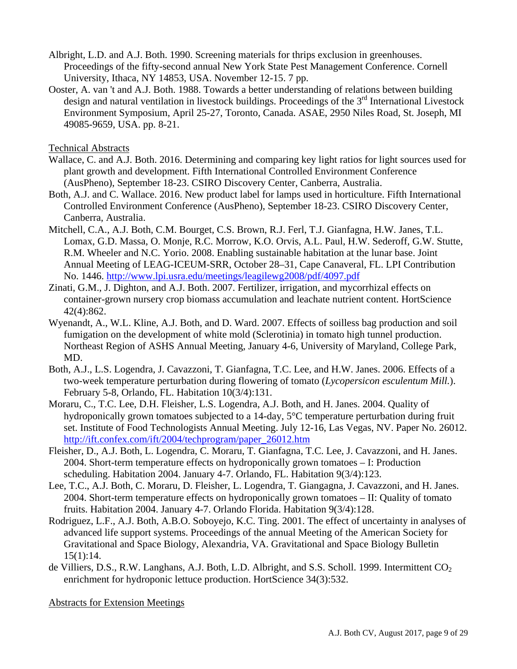- Albright, L.D. and A.J. Both. 1990. Screening materials for thrips exclusion in greenhouses. Proceedings of the fifty-second annual New York State Pest Management Conference. Cornell University, Ithaca, NY 14853, USA. November 12-15. 7 pp.
- Ooster, A. van 't and A.J. Both. 1988. Towards a better understanding of relations between building design and natural ventilation in livestock buildings. Proceedings of the 3<sup>rd</sup> International Livestock Environment Symposium, April 25-27, Toronto, Canada. ASAE, 2950 Niles Road, St. Joseph, MI 49085-9659, USA. pp. 8-21.

Technical Abstracts

- Wallace, C. and A.J. Both. 2016. Determining and comparing key light ratios for light sources used for plant growth and development. Fifth International Controlled Environment Conference (AusPheno), September 18-23. CSIRO Discovery Center, Canberra, Australia.
- Both, A.J. and C. Wallace. 2016. New product label for lamps used in horticulture. Fifth International Controlled Environment Conference (AusPheno), September 18-23. CSIRO Discovery Center, Canberra, Australia.
- Mitchell, C.A., A.J. Both, C.M. Bourget, C.S. Brown, R.J. Ferl, T.J. Gianfagna, H.W. Janes, T.L. Lomax, G.D. Massa, O. Monje, R.C. Morrow, K.O. Orvis, A.L. Paul, H.W. Sederoff, G.W. Stutte, R.M. Wheeler and N.C. Yorio. 2008. Enabling sustainable habitation at the lunar base. Joint Annual Meeting of LEAG-ICEUM-SRR, October 28–31, Cape Canaveral, FL. LPI Contribution No. 1446. http://www.lpi.usra.edu/meetings/leagilewg2008/pdf/4097.pdf
- Zinati, G.M., J. Dighton, and A.J. Both. 2007. Fertilizer, irrigation, and mycorrhizal effects on container-grown nursery crop biomass accumulation and leachate nutrient content. HortScience 42(4):862.
- Wyenandt, A., W.L. Kline, A.J. Both, and D. Ward. 2007. Effects of soilless bag production and soil fumigation on the development of white mold (Sclerotinia) in tomato high tunnel production. Northeast Region of ASHS Annual Meeting, January 4-6, University of Maryland, College Park, MD.
- Both, A.J., L.S. Logendra, J. Cavazzoni, T. Gianfagna, T.C. Lee, and H.W. Janes. 2006. Effects of a two-week temperature perturbation during flowering of tomato (*Lycopersicon esculentum Mill.*). February 5-8, Orlando, FL. Habitation 10(3/4):131.
- Moraru, C., T.C. Lee, D.H. Fleisher, L.S. Logendra, A.J. Both, and H. Janes. 2004. Quality of hydroponically grown tomatoes subjected to a 14-day, 5°C temperature perturbation during fruit set. Institute of Food Technologists Annual Meeting. July 12-16, Las Vegas, NV. Paper No. 26012. http://ift.confex.com/ift/2004/techprogram/paper\_26012.htm
- Fleisher, D., A.J. Both, L. Logendra, C. Moraru, T. Gianfagna, T.C. Lee, J. Cavazzoni, and H. Janes. 2004. Short-term temperature effects on hydroponically grown tomatoes – I: Production scheduling. Habitation 2004. January 4-7. Orlando, FL. Habitation 9(3/4):123.
- Lee, T.C., A.J. Both, C. Moraru, D. Fleisher, L. Logendra, T. Giangagna, J. Cavazzoni, and H. Janes. 2004. Short-term temperature effects on hydroponically grown tomatoes – II: Quality of tomato fruits. Habitation 2004. January 4-7. Orlando Florida. Habitation 9(3/4):128.
- Rodriguez, L.F., A.J. Both, A.B.O. Soboyejo, K.C. Ting. 2001. The effect of uncertainty in analyses of advanced life support systems. Proceedings of the annual Meeting of the American Society for Gravitational and Space Biology, Alexandria, VA. Gravitational and Space Biology Bulletin 15(1):14.
- de Villiers, D.S., R.W. Langhans, A.J. Both, L.D. Albright, and S.S. Scholl. 1999. Intermittent  $CO<sub>2</sub>$ enrichment for hydroponic lettuce production. HortScience 34(3):532.

Abstracts for Extension Meetings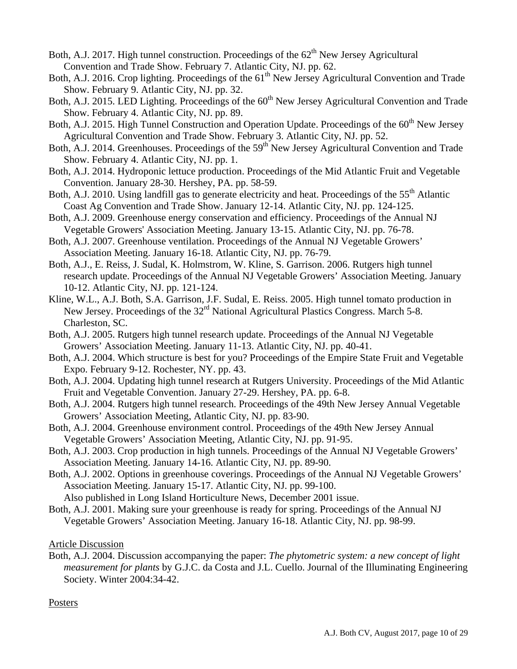- Both, A.J. 2017. High tunnel construction. Proceedings of the  $62<sup>th</sup>$  New Jersey Agricultural Convention and Trade Show. February 7. Atlantic City, NJ. pp. 62.
- Both, A.J. 2016. Crop lighting. Proceedings of the 61<sup>th</sup> New Jersey Agricultural Convention and Trade Show. February 9. Atlantic City, NJ. pp. 32.
- Both, A.J. 2015. LED Lighting. Proceedings of the 60<sup>th</sup> New Jersey Agricultural Convention and Trade Show. February 4. Atlantic City, NJ. pp. 89.
- Both, A.J. 2015. High Tunnel Construction and Operation Update. Proceedings of the  $60<sup>th</sup>$  New Jersey Agricultural Convention and Trade Show. February 3. Atlantic City, NJ. pp. 52.
- Both, A.J. 2014. Greenhouses. Proceedings of the 59<sup>th</sup> New Jersey Agricultural Convention and Trade Show. February 4. Atlantic City, NJ. pp. 1.
- Both, A.J. 2014. Hydroponic lettuce production. Proceedings of the Mid Atlantic Fruit and Vegetable Convention. January 28-30. Hershey, PA. pp. 58-59.
- Both, A.J. 2010. Using landfill gas to generate electricity and heat. Proceedings of the 55<sup>th</sup> Atlantic Coast Ag Convention and Trade Show. January 12-14. Atlantic City, NJ. pp. 124-125.
- Both, A.J. 2009. Greenhouse energy conservation and efficiency. Proceedings of the Annual NJ Vegetable Growers' Association Meeting. January 13-15. Atlantic City, NJ. pp. 76-78.
- Both, A.J. 2007. Greenhouse ventilation. Proceedings of the Annual NJ Vegetable Growers' Association Meeting. January 16-18. Atlantic City, NJ. pp. 76-79.
- Both, A.J., E. Reiss, J. Sudal, K. Holmstrom, W. Kline, S. Garrison. 2006. Rutgers high tunnel research update. Proceedings of the Annual NJ Vegetable Growers' Association Meeting. January 10-12. Atlantic City, NJ. pp. 121-124.
- Kline, W.L., A.J. Both, S.A. Garrison, J.F. Sudal, E. Reiss. 2005. High tunnel tomato production in New Jersey. Proceedings of the 32<sup>rd</sup> National Agricultural Plastics Congress. March 5-8. Charleston, SC.
- Both, A.J. 2005. Rutgers high tunnel research update. Proceedings of the Annual NJ Vegetable Growers' Association Meeting. January 11-13. Atlantic City, NJ. pp. 40-41.
- Both, A.J. 2004. Which structure is best for you? Proceedings of the Empire State Fruit and Vegetable Expo. February 9-12. Rochester, NY. pp. 43.
- Both, A.J. 2004. Updating high tunnel research at Rutgers University. Proceedings of the Mid Atlantic Fruit and Vegetable Convention. January 27-29. Hershey, PA. pp. 6-8.
- Both, A.J. 2004. Rutgers high tunnel research. Proceedings of the 49th New Jersey Annual Vegetable Growers' Association Meeting, Atlantic City, NJ. pp. 83-90.
- Both, A.J. 2004. Greenhouse environment control. Proceedings of the 49th New Jersey Annual Vegetable Growers' Association Meeting, Atlantic City, NJ. pp. 91-95.
- Both, A.J. 2003. Crop production in high tunnels. Proceedings of the Annual NJ Vegetable Growers' Association Meeting. January 14-16. Atlantic City, NJ. pp. 89-90.
- Both, A.J. 2002. Options in greenhouse coverings. Proceedings of the Annual NJ Vegetable Growers' Association Meeting. January 15-17. Atlantic City, NJ. pp. 99-100.

Also published in Long Island Horticulture News, December 2001 issue.

Both, A.J. 2001. Making sure your greenhouse is ready for spring. Proceedings of the Annual NJ Vegetable Growers' Association Meeting. January 16-18. Atlantic City, NJ. pp. 98-99.

Article Discussion

Both, A.J. 2004. Discussion accompanying the paper: *The phytometric system: a new concept of light measurement for plants* by G.J.C. da Costa and J.L. Cuello. Journal of the Illuminating Engineering Society. Winter 2004:34-42.

#### Posters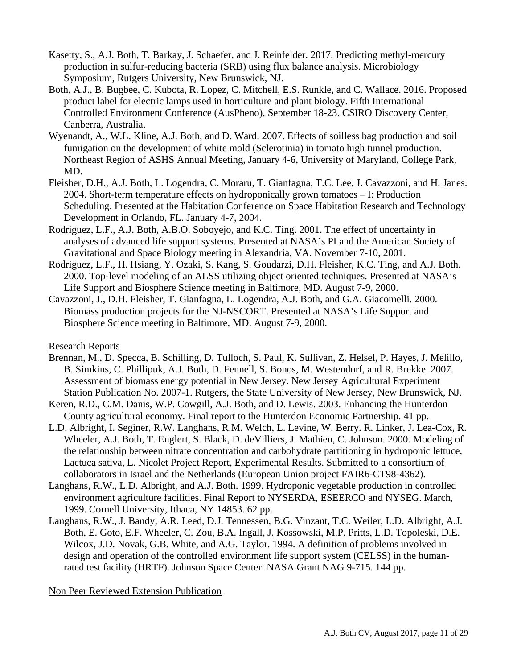- Kasetty, S., A.J. Both, T. Barkay, J. Schaefer, and J. Reinfelder. 2017. Predicting methyl-mercury production in sulfur-reducing bacteria (SRB) using flux balance analysis. Microbiology Symposium, Rutgers University, New Brunswick, NJ.
- Both, A.J., B. Bugbee, C. Kubota, R. Lopez, C. Mitchell, E.S. Runkle, and C. Wallace. 2016. Proposed product label for electric lamps used in horticulture and plant biology. Fifth International Controlled Environment Conference (AusPheno), September 18-23. CSIRO Discovery Center, Canberra, Australia.
- Wyenandt, A., W.L. Kline, A.J. Both, and D. Ward. 2007. Effects of soilless bag production and soil fumigation on the development of white mold (Sclerotinia) in tomato high tunnel production. Northeast Region of ASHS Annual Meeting, January 4-6, University of Maryland, College Park, MD.
- Fleisher, D.H., A.J. Both, L. Logendra, C. Moraru, T. Gianfagna, T.C. Lee, J. Cavazzoni, and H. Janes. 2004. Short-term temperature effects on hydroponically grown tomatoes – I: Production Scheduling. Presented at the Habitation Conference on Space Habitation Research and Technology Development in Orlando, FL. January 4-7, 2004.
- Rodriguez, L.F., A.J. Both, A.B.O. Soboyejo, and K.C. Ting. 2001. The effect of uncertainty in analyses of advanced life support systems. Presented at NASA's PI and the American Society of Gravitational and Space Biology meeting in Alexandria, VA. November 7-10, 2001.
- Rodriguez, L.F., H. Hsiang, Y. Ozaki, S. Kang, S. Goudarzi, D.H. Fleisher, K.C. Ting, and A.J. Both. 2000. Top-level modeling of an ALSS utilizing object oriented techniques. Presented at NASA's Life Support and Biosphere Science meeting in Baltimore, MD. August 7-9, 2000.
- Cavazzoni, J., D.H. Fleisher, T. Gianfagna, L. Logendra, A.J. Both, and G.A. Giacomelli. 2000. Biomass production projects for the NJ-NSCORT. Presented at NASA's Life Support and Biosphere Science meeting in Baltimore, MD. August 7-9, 2000.

Research Reports

- Brennan, M., D. Specca, B. Schilling, D. Tulloch, S. Paul, K. Sullivan, Z. Helsel, P. Hayes, J. Melillo, B. Simkins, C. Phillipuk, A.J. Both, D. Fennell, S. Bonos, M. Westendorf, and R. Brekke. 2007. Assessment of biomass energy potential in New Jersey. New Jersey Agricultural Experiment Station Publication No. 2007-1. Rutgers, the State University of New Jersey, New Brunswick, NJ.
- Keren, R.D., C.M. Danis, W.P. Cowgill, A.J. Both, and D. Lewis. 2003. Enhancing the Hunterdon County agricultural economy. Final report to the Hunterdon Economic Partnership. 41 pp.
- L.D. Albright, I. Seginer, R.W. Langhans, R.M. Welch, L. Levine, W. Berry. R. Linker, J. Lea-Cox, R. Wheeler, A.J. Both, T. Englert, S. Black, D. deVilliers, J. Mathieu, C. Johnson. 2000. Modeling of the relationship between nitrate concentration and carbohydrate partitioning in hydroponic lettuce, Lactuca sativa, L. Nicolet Project Report, Experimental Results. Submitted to a consortium of collaborators in Israel and the Netherlands (European Union project FAIR6-CT98-4362).
- Langhans, R.W., L.D. Albright, and A.J. Both. 1999. Hydroponic vegetable production in controlled environment agriculture facilities. Final Report to NYSERDA, ESEERCO and NYSEG. March, 1999. Cornell University, Ithaca, NY 14853. 62 pp.
- Langhans, R.W., J. Bandy, A.R. Leed, D.J. Tennessen, B.G. Vinzant, T.C. Weiler, L.D. Albright, A.J. Both, E. Goto, E.F. Wheeler, C. Zou, B.A. Ingall, J. Kossowski, M.P. Pritts, L.D. Topoleski, D.E. Wilcox, J.D. Novak, G.B. White, and A.G. Taylor. 1994. A definition of problems involved in design and operation of the controlled environment life support system (CELSS) in the humanrated test facility (HRTF). Johnson Space Center. NASA Grant NAG 9-715. 144 pp.

Non Peer Reviewed Extension Publication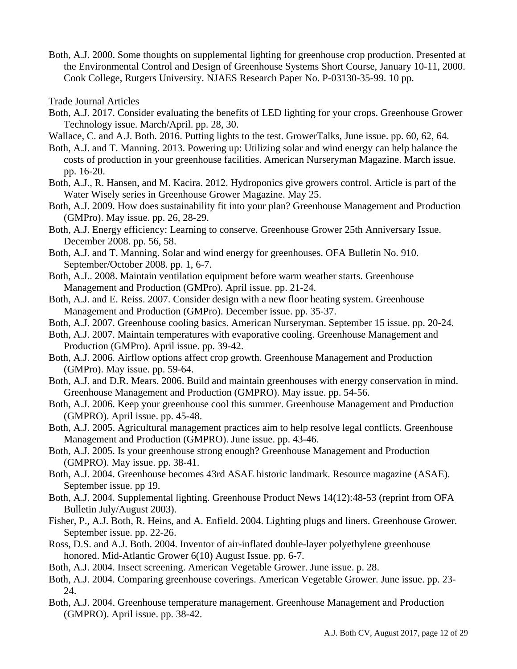Both, A.J. 2000. Some thoughts on supplemental lighting for greenhouse crop production. Presented at the Environmental Control and Design of Greenhouse Systems Short Course, January 10-11, 2000. Cook College, Rutgers University. NJAES Research Paper No. P-03130-35-99. 10 pp.

Trade Journal Articles

- Both, A.J. 2017. Consider evaluating the benefits of LED lighting for your crops. Greenhouse Grower Technology issue. March/April. pp. 28, 30.
- Wallace, C. and A.J. Both. 2016. Putting lights to the test. GrowerTalks, June issue. pp. 60, 62, 64.
- Both, A.J. and T. Manning. 2013. Powering up: Utilizing solar and wind energy can help balance the costs of production in your greenhouse facilities. American Nurseryman Magazine. March issue. pp. 16-20.
- Both, A.J., R. Hansen, and M. Kacira. 2012. Hydroponics give growers control. Article is part of the Water Wisely series in Greenhouse Grower Magazine. May 25.
- Both, A.J. 2009. How does sustainability fit into your plan? Greenhouse Management and Production (GMPro). May issue. pp. 26, 28-29.
- Both, A.J. Energy efficiency: Learning to conserve. Greenhouse Grower 25th Anniversary Issue. December 2008. pp. 56, 58.
- Both, A.J. and T. Manning. Solar and wind energy for greenhouses. OFA Bulletin No. 910. September/October 2008. pp. 1, 6-7.
- Both, A.J.. 2008. Maintain ventilation equipment before warm weather starts. Greenhouse Management and Production (GMPro). April issue. pp. 21-24.
- Both, A.J. and E. Reiss. 2007. Consider design with a new floor heating system. Greenhouse Management and Production (GMPro). December issue. pp. 35-37.
- Both, A.J. 2007. Greenhouse cooling basics. American Nurseryman. September 15 issue. pp. 20-24.
- Both, A.J. 2007. Maintain temperatures with evaporative cooling. Greenhouse Management and Production (GMPro). April issue. pp. 39-42.
- Both, A.J. 2006. Airflow options affect crop growth. Greenhouse Management and Production (GMPro). May issue. pp. 59-64.
- Both, A.J. and D.R. Mears. 2006. Build and maintain greenhouses with energy conservation in mind. Greenhouse Management and Production (GMPRO). May issue. pp. 54-56.
- Both, A.J. 2006. Keep your greenhouse cool this summer. Greenhouse Management and Production (GMPRO). April issue. pp. 45-48.
- Both, A.J. 2005. Agricultural management practices aim to help resolve legal conflicts. Greenhouse Management and Production (GMPRO). June issue. pp. 43-46.
- Both, A.J. 2005. Is your greenhouse strong enough? Greenhouse Management and Production (GMPRO). May issue. pp. 38-41.
- Both, A.J. 2004. Greenhouse becomes 43rd ASAE historic landmark. Resource magazine (ASAE). September issue. pp 19.
- Both, A.J. 2004. Supplemental lighting. Greenhouse Product News 14(12):48-53 (reprint from OFA Bulletin July/August 2003).
- Fisher, P., A.J. Both, R. Heins, and A. Enfield. 2004. Lighting plugs and liners. Greenhouse Grower. September issue. pp. 22-26.
- Ross, D.S. and A.J. Both. 2004. Inventor of air-inflated double-layer polyethylene greenhouse honored. Mid-Atlantic Grower 6(10) August Issue. pp. 6-7.
- Both, A.J. 2004. Insect screening. American Vegetable Grower. June issue. p. 28.
- Both, A.J. 2004. Comparing greenhouse coverings. American Vegetable Grower. June issue. pp. 23- 24.
- Both, A.J. 2004. Greenhouse temperature management. Greenhouse Management and Production (GMPRO). April issue. pp. 38-42.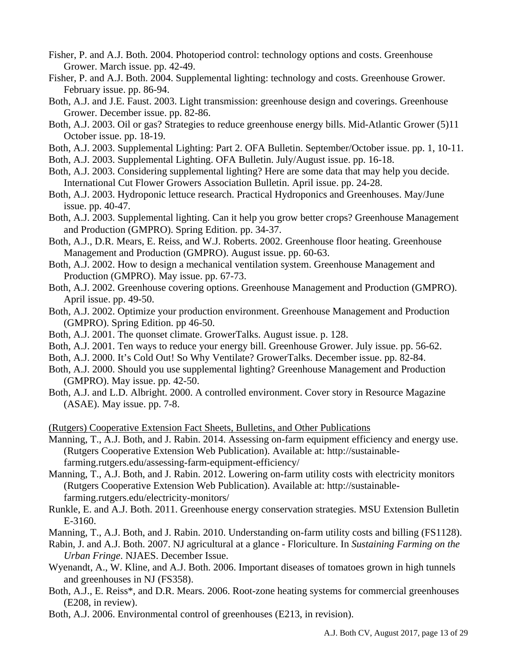- Fisher, P. and A.J. Both. 2004. Photoperiod control: technology options and costs. Greenhouse Grower. March issue. pp. 42-49.
- Fisher, P. and A.J. Both. 2004. Supplemental lighting: technology and costs. Greenhouse Grower. February issue. pp. 86-94.
- Both, A.J. and J.E. Faust. 2003. Light transmission: greenhouse design and coverings. Greenhouse Grower. December issue. pp. 82-86.
- Both, A.J. 2003. Oil or gas? Strategies to reduce greenhouse energy bills. Mid-Atlantic Grower (5)11 October issue. pp. 18-19.
- Both, A.J. 2003. Supplemental Lighting: Part 2. OFA Bulletin. September/October issue. pp. 1, 10-11.
- Both, A.J. 2003. Supplemental Lighting. OFA Bulletin. July/August issue. pp. 16-18.
- Both, A.J. 2003. Considering supplemental lighting? Here are some data that may help you decide. International Cut Flower Growers Association Bulletin. April issue. pp. 24-28.
- Both, A.J. 2003. Hydroponic lettuce research. Practical Hydroponics and Greenhouses. May/June issue. pp. 40-47.
- Both, A.J. 2003. Supplemental lighting. Can it help you grow better crops? Greenhouse Management and Production (GMPRO). Spring Edition. pp. 34-37.
- Both, A.J., D.R. Mears, E. Reiss, and W.J. Roberts. 2002. Greenhouse floor heating. Greenhouse Management and Production (GMPRO). August issue. pp. 60-63.
- Both, A.J. 2002. How to design a mechanical ventilation system. Greenhouse Management and Production (GMPRO). May issue. pp. 67-73.
- Both, A.J. 2002. Greenhouse covering options. Greenhouse Management and Production (GMPRO). April issue. pp. 49-50.
- Both, A.J. 2002. Optimize your production environment. Greenhouse Management and Production (GMPRO). Spring Edition. pp 46-50.
- Both, A.J. 2001. The quonset climate. GrowerTalks. August issue. p. 128.
- Both, A.J. 2001. Ten ways to reduce your energy bill. Greenhouse Grower. July issue. pp. 56-62.
- Both, A.J. 2000. It's Cold Out! So Why Ventilate? GrowerTalks. December issue. pp. 82-84.
- Both, A.J. 2000. Should you use supplemental lighting? Greenhouse Management and Production (GMPRO). May issue. pp. 42-50.
- Both, A.J. and L.D. Albright. 2000. A controlled environment. Cover story in Resource Magazine (ASAE). May issue. pp. 7-8.

(Rutgers) Cooperative Extension Fact Sheets, Bulletins, and Other Publications

- Manning, T., A.J. Both, and J. Rabin. 2014. Assessing on-farm equipment efficiency and energy use. (Rutgers Cooperative Extension Web Publication). Available at: http://sustainablefarming.rutgers.edu/assessing-farm-equipment-efficiency/
- Manning, T., A.J. Both, and J. Rabin. 2012. Lowering on-farm utility costs with electricity monitors (Rutgers Cooperative Extension Web Publication). Available at: http://sustainablefarming.rutgers.edu/electricity-monitors/
- Runkle, E. and A.J. Both. 2011. Greenhouse energy conservation strategies. MSU Extension Bulletin E-3160.
- Manning, T., A.J. Both, and J. Rabin. 2010. Understanding on-farm utility costs and billing (FS1128).
- Rabin, J. and A.J. Both. 2007. NJ agricultural at a glance Floriculture. In *Sustaining Farming on the Urban Fringe*. NJAES. December Issue.
- Wyenandt, A., W. Kline, and A.J. Both. 2006. Important diseases of tomatoes grown in high tunnels and greenhouses in NJ (FS358).
- Both, A.J., E. Reiss\*, and D.R. Mears. 2006. Root-zone heating systems for commercial greenhouses (E208, in review).
- Both, A.J. 2006. Environmental control of greenhouses (E213, in revision).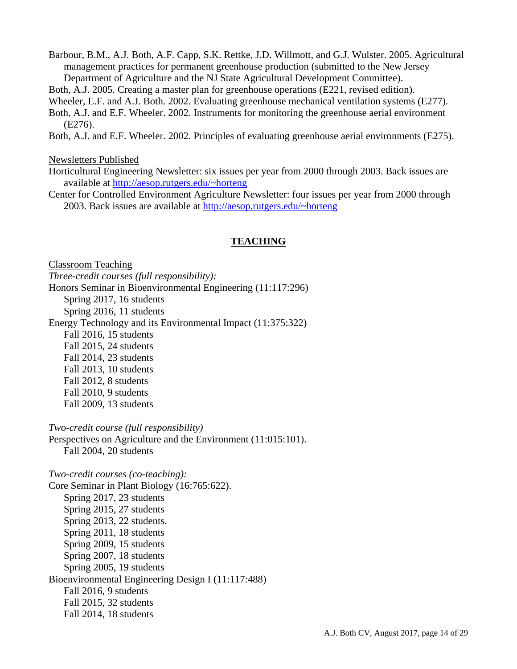Barbour, B.M., A.J. Both, A.F. Capp, S.K. Rettke, J.D. Willmott, and G.J. Wulster. 2005. Agricultural management practices for permanent greenhouse production (submitted to the New Jersey Department of Agriculture and the NJ State Agricultural Development Committee).

Both, A.J. 2005. Creating a master plan for greenhouse operations (E221, revised edition).

Wheeler, E.F. and A.J. Both. 2002. Evaluating greenhouse mechanical ventilation systems (E277).

Both, A.J. and E.F. Wheeler. 2002. Instruments for monitoring the greenhouse aerial environment (E276).

Both, A.J. and E.F. Wheeler. 2002. Principles of evaluating greenhouse aerial environments (E275).

#### Newsletters Published

Horticultural Engineering Newsletter: six issues per year from 2000 through 2003. Back issues are available at http://aesop.rutgers.edu/~horteng

Center for Controlled Environment Agriculture Newsletter: four issues per year from 2000 through 2003. Back issues are available at http://aesop.rutgers.edu/~horteng

#### **TEACHING**

Classroom Teaching

*Three-credit courses (full responsibility):*  Honors Seminar in Bioenvironmental Engineering (11:117:296) Spring 2017, 16 students Spring 2016, 11 students Energy Technology and its Environmental Impact (11:375:322) Fall 2016, 15 students Fall 2015, 24 students Fall 2014, 23 students Fall 2013, 10 students Fall 2012, 8 students Fall 2010, 9 students Fall 2009, 13 students

*Two-credit course (full responsibility)* 

Perspectives on Agriculture and the Environment (11:015:101). Fall 2004, 20 students

*Two-credit courses (co-teaching):*  Core Seminar in Plant Biology (16:765:622). Spring 2017, 23 students Spring 2015, 27 students Spring 2013, 22 students. Spring 2011, 18 students Spring 2009, 15 students Spring 2007, 18 students Spring 2005, 19 students Bioenvironmental Engineering Design I (11:117:488) Fall 2016, 9 students Fall 2015, 32 students Fall 2014, 18 students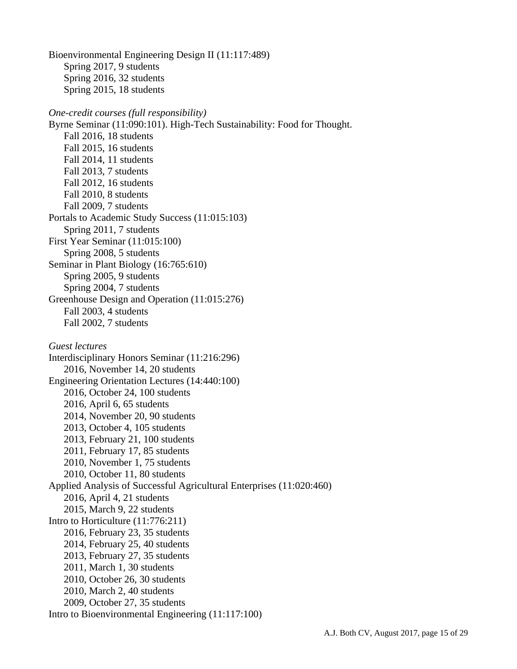Bioenvironmental Engineering Design II (11:117:489) Spring 2017, 9 students Spring 2016, 32 students Spring 2015, 18 students

## *One-credit courses (full responsibility)*  Byrne Seminar (11:090:101). High-Tech Sustainability: Food for Thought. Fall 2016, 18 students Fall 2015, 16 students Fall 2014, 11 students Fall 2013, 7 students Fall 2012, 16 students Fall 2010, 8 students Fall 2009, 7 students Portals to Academic Study Success (11:015:103) Spring 2011, 7 students First Year Seminar (11:015:100) Spring 2008, 5 students Seminar in Plant Biology (16:765:610) Spring 2005, 9 students Spring 2004, 7 students Greenhouse Design and Operation (11:015:276) Fall 2003, 4 students Fall 2002, 7 students *Guest lectures*  Interdisciplinary Honors Seminar (11:216:296) 2016, November 14, 20 students Engineering Orientation Lectures (14:440:100) 2016, October 24, 100 students

 2016, April 6, 65 students 2014, November 20, 90 students 2013, October 4, 105 students 2013, February 21, 100 students 2011, February 17, 85 students 2010, November 1, 75 students 2010, October 11, 80 students Applied Analysis of Successful Agricultural Enterprises (11:020:460) 2016, April 4, 21 students 2015, March 9, 22 students Intro to Horticulture (11:776:211) 2016, February 23, 35 students 2014, February 25, 40 students 2013, February 27, 35 students 2011, March 1, 30 students 2010, October 26, 30 students 2010, March 2, 40 students 2009, October 27, 35 students

Intro to Bioenvironmental Engineering (11:117:100)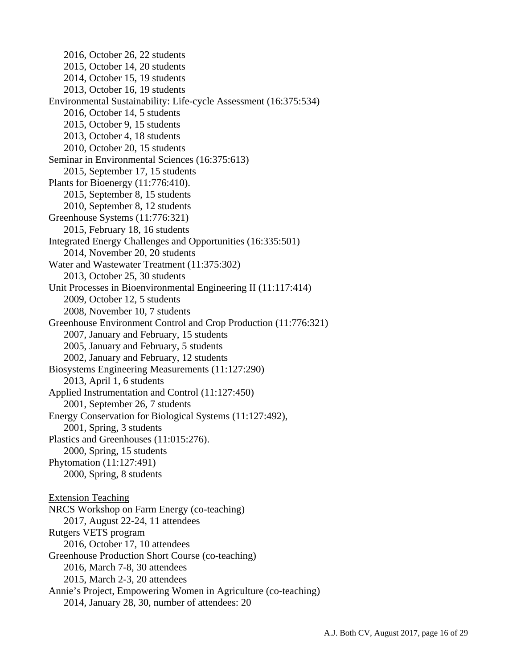2016, October 26, 22 students 2015, October 14, 20 students 2014, October 15, 19 students 2013, October 16, 19 students Environmental Sustainability: Life-cycle Assessment (16:375:534) 2016, October 14, 5 students 2015, October 9, 15 students 2013, October 4, 18 students 2010, October 20, 15 students Seminar in Environmental Sciences (16:375:613) 2015, September 17, 15 students Plants for Bioenergy (11:776:410). 2015, September 8, 15 students 2010, September 8, 12 students Greenhouse Systems (11:776:321) 2015, February 18, 16 students Integrated Energy Challenges and Opportunities (16:335:501) 2014, November 20, 20 students Water and Wastewater Treatment (11:375:302) 2013, October 25, 30 students Unit Processes in Bioenvironmental Engineering II (11:117:414) 2009, October 12, 5 students 2008, November 10, 7 students Greenhouse Environment Control and Crop Production (11:776:321) 2007, January and February, 15 students 2005, January and February, 5 students 2002, January and February, 12 students Biosystems Engineering Measurements (11:127:290) 2013, April 1, 6 students Applied Instrumentation and Control (11:127:450) 2001, September 26, 7 students Energy Conservation for Biological Systems (11:127:492), 2001, Spring, 3 students Plastics and Greenhouses (11:015:276). 2000, Spring, 15 students Phytomation (11:127:491) 2000, Spring, 8 students Extension Teaching NRCS Workshop on Farm Energy (co-teaching) 2017, August 22-24, 11 attendees Rutgers VETS program 2016, October 17, 10 attendees Greenhouse Production Short Course (co-teaching) 2016, March 7-8, 30 attendees 2015, March 2-3, 20 attendees Annie's Project, Empowering Women in Agriculture (co-teaching) 2014, January 28, 30, number of attendees: 20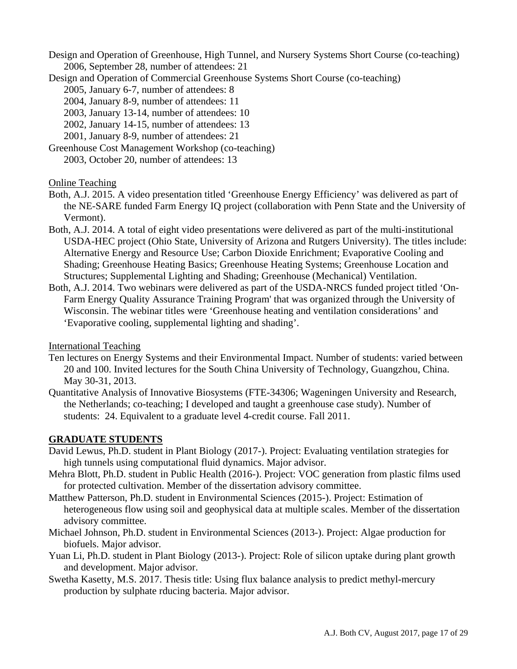Design and Operation of Greenhouse, High Tunnel, and Nursery Systems Short Course (co-teaching) 2006, September 28, number of attendees: 21

Design and Operation of Commercial Greenhouse Systems Short Course (co-teaching)

- 2005, January 6-7, number of attendees: 8
- 2004, January 8-9, number of attendees: 11
- 2003, January 13-14, number of attendees: 10
- 2002, January 14-15, number of attendees: 13

2001, January 8-9, number of attendees: 21

Greenhouse Cost Management Workshop (co-teaching)

2003, October 20, number of attendees: 13

Online Teaching

- Both, A.J. 2015. A video presentation titled 'Greenhouse Energy Efficiency' was delivered as part of the NE-SARE funded Farm Energy IQ project (collaboration with Penn State and the University of Vermont).
- Both, A.J. 2014. A total of eight video presentations were delivered as part of the multi-institutional USDA-HEC project (Ohio State, University of Arizona and Rutgers University). The titles include: Alternative Energy and Resource Use; Carbon Dioxide Enrichment; Evaporative Cooling and Shading; Greenhouse Heating Basics; Greenhouse Heating Systems; Greenhouse Location and Structures; Supplemental Lighting and Shading; Greenhouse (Mechanical) Ventilation.
- Both, A.J. 2014. Two webinars were delivered as part of the USDA-NRCS funded project titled 'On-Farm Energy Quality Assurance Training Program' that was organized through the University of Wisconsin. The webinar titles were 'Greenhouse heating and ventilation considerations' and 'Evaporative cooling, supplemental lighting and shading'.

International Teaching

- Ten lectures on Energy Systems and their Environmental Impact. Number of students: varied between 20 and 100. Invited lectures for the South China University of Technology, Guangzhou, China. May 30-31, 2013.
- Quantitative Analysis of Innovative Biosystems (FTE-34306; Wageningen University and Research, the Netherlands; co-teaching; I developed and taught a greenhouse case study). Number of students: 24. Equivalent to a graduate level 4-credit course. Fall 2011.

## **GRADUATE STUDENTS**

- David Lewus, Ph.D. student in Plant Biology (2017-). Project: Evaluating ventilation strategies for high tunnels using computational fluid dynamics. Major advisor.
- Mehra Blott, Ph.D. student in Public Health (2016-). Project: VOC generation from plastic films used for protected cultivation. Member of the dissertation advisory committee.
- Matthew Patterson, Ph.D. student in Environmental Sciences (2015-). Project: Estimation of heterogeneous flow using soil and geophysical data at multiple scales. Member of the dissertation advisory committee.
- Michael Johnson, Ph.D. student in Environmental Sciences (2013-). Project: Algae production for biofuels. Major advisor.
- Yuan Li, Ph.D. student in Plant Biology (2013-). Project: Role of silicon uptake during plant growth and development. Major advisor.
- Swetha Kasetty, M.S. 2017. Thesis title: Using flux balance analysis to predict methyl-mercury production by sulphate rducing bacteria. Major advisor.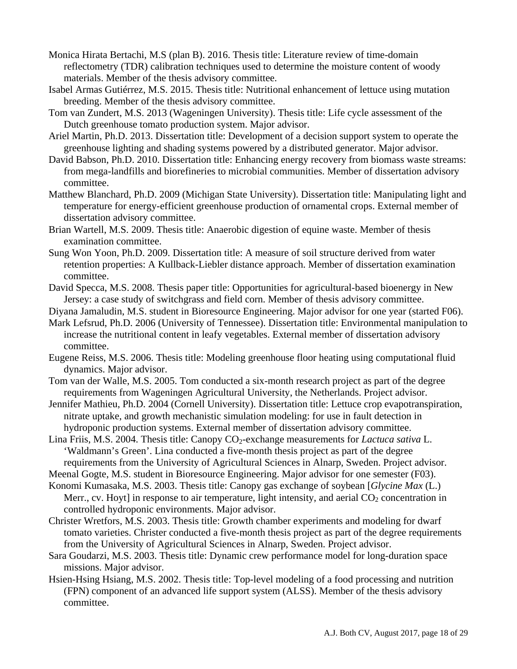- Monica Hirata Bertachi, M.S (plan B). 2016. Thesis title: Literature review of time-domain reflectometry (TDR) calibration techniques used to determine the moisture content of woody materials. Member of the thesis advisory committee.
- Isabel Armas Gutiérrez, M.S. 2015. Thesis title: Nutritional enhancement of lettuce using mutation breeding. Member of the thesis advisory committee.
- Tom van Zundert, M.S. 2013 (Wageningen University). Thesis title: Life cycle assessment of the Dutch greenhouse tomato production system. Major advisor.
- Ariel Martin, Ph.D. 2013. Dissertation title: Development of a decision support system to operate the greenhouse lighting and shading systems powered by a distributed generator. Major advisor.
- David Babson, Ph.D. 2010. Dissertation title: Enhancing energy recovery from biomass waste streams: from mega-landfills and biorefineries to microbial communities. Member of dissertation advisory committee.
- Matthew Blanchard, Ph.D. 2009 (Michigan State University). Dissertation title: Manipulating light and temperature for energy-efficient greenhouse production of ornamental crops. External member of dissertation advisory committee.
- Brian Wartell, M.S. 2009. Thesis title: Anaerobic digestion of equine waste. Member of thesis examination committee.
- Sung Won Yoon, Ph.D. 2009. Dissertation title: A measure of soil structure derived from water retention properties: A Kullback-Liebler distance approach. Member of dissertation examination committee.
- David Specca, M.S. 2008. Thesis paper title: Opportunities for agricultural-based bioenergy in New Jersey: a case study of switchgrass and field corn. Member of thesis advisory committee.
- Diyana Jamaludin, M.S. student in Bioresource Engineering. Major advisor for one year (started F06).
- Mark Lefsrud, Ph.D. 2006 (University of Tennessee). Dissertation title: Environmental manipulation to increase the nutritional content in leafy vegetables. External member of dissertation advisory committee.
- Eugene Reiss, M.S. 2006. Thesis title: Modeling greenhouse floor heating using computational fluid dynamics. Major advisor.
- Tom van der Walle, M.S. 2005. Tom conducted a six-month research project as part of the degree requirements from Wageningen Agricultural University, the Netherlands. Project advisor.
- Jennifer Mathieu, Ph.D. 2004 (Cornell University). Dissertation title: Lettuce crop evapotranspiration, nitrate uptake, and growth mechanistic simulation modeling: for use in fault detection in hydroponic production systems. External member of dissertation advisory committee.
- Lina Friis, M.S. 2004. Thesis title: Canopy CO<sub>2</sub>-exchange measurements for *Lactuca sativa* L. 'Waldmann's Green'. Lina conducted a five-month thesis project as part of the degree requirements from the University of Agricultural Sciences in Alnarp, Sweden. Project advisor.

Meenal Gogte, M.S. student in Bioresource Engineering. Major advisor for one semester (F03).

- Konomi Kumasaka, M.S. 2003. Thesis title: Canopy gas exchange of soybean [*Glycine Max* (L.) Merr., cv. Hoyt] in response to air temperature, light intensity, and aerial  $CO<sub>2</sub>$  concentration in controlled hydroponic environments. Major advisor.
- Christer Wretfors, M.S. 2003. Thesis title: Growth chamber experiments and modeling for dwarf tomato varieties. Christer conducted a five-month thesis project as part of the degree requirements from the University of Agricultural Sciences in Alnarp, Sweden. Project advisor.
- Sara Goudarzi, M.S. 2003. Thesis title: Dynamic crew performance model for long-duration space missions. Major advisor.
- Hsien-Hsing Hsiang, M.S. 2002. Thesis title: Top-level modeling of a food processing and nutrition (FPN) component of an advanced life support system (ALSS). Member of the thesis advisory committee.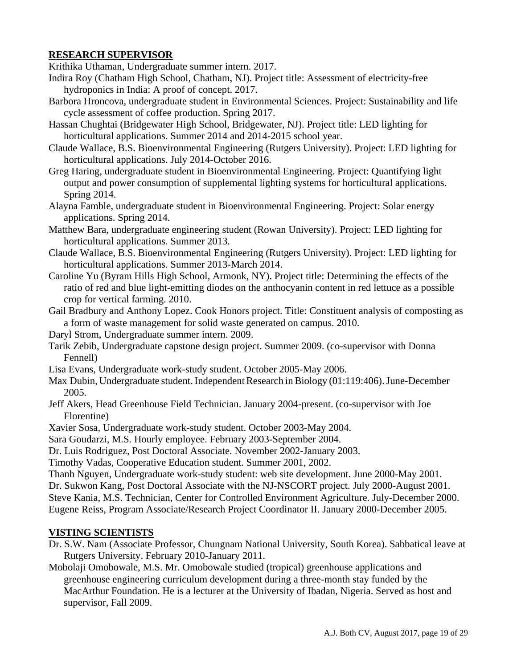## **RESEARCH SUPERVISOR**

Krithika Uthaman, Undergraduate summer intern. 2017.

- Indira Roy (Chatham High School, Chatham, NJ). Project title: Assessment of electricity-free hydroponics in India: A proof of concept. 2017.
- Barbora Hroncova, undergraduate student in Environmental Sciences. Project: Sustainability and life cycle assessment of coffee production. Spring 2017.
- Hassan Chughtai (Bridgewater High School, Bridgewater, NJ). Project title: LED lighting for horticultural applications. Summer 2014 and 2014-2015 school year.
- Claude Wallace, B.S. Bioenvironmental Engineering (Rutgers University). Project: LED lighting for horticultural applications. July 2014-October 2016.
- Greg Haring, undergraduate student in Bioenvironmental Engineering. Project: Quantifying light output and power consumption of supplemental lighting systems for horticultural applications. Spring 2014.
- Alayna Famble, undergraduate student in Bioenvironmental Engineering. Project: Solar energy applications. Spring 2014.
- Matthew Bara, undergraduate engineering student (Rowan University). Project: LED lighting for horticultural applications. Summer 2013.
- Claude Wallace, B.S. Bioenvironmental Engineering (Rutgers University). Project: LED lighting for horticultural applications. Summer 2013-March 2014.
- Caroline Yu (Byram Hills High School, Armonk, NY). Project title: Determining the effects of the ratio of red and blue light-emitting diodes on the anthocyanin content in red lettuce as a possible crop for vertical farming. 2010.
- Gail Bradbury and Anthony Lopez. Cook Honors project. Title: Constituent analysis of composting as a form of waste management for solid waste generated on campus. 2010.
- Daryl Strom, Undergraduate summer intern. 2009.
- Tarik Zebib, Undergraduate capstone design project. Summer 2009. (co-supervisor with Donna Fennell)
- Lisa Evans, Undergraduate work-study student. October 2005-May 2006.
- Max Dubin, Undergraduate student. Independent Research in Biology (01:119:406). June-December 2005.
- Jeff Akers, Head Greenhouse Field Technician. January 2004-present. (co-supervisor with Joe Florentine)
- Xavier Sosa, Undergraduate work-study student. October 2003-May 2004.
- Sara Goudarzi, M.S. Hourly employee. February 2003-September 2004.
- Dr. Luis Rodriguez, Post Doctoral Associate. November 2002-January 2003.
- Timothy Vadas, Cooperative Education student. Summer 2001, 2002.

Thanh Nguyen, Undergraduate work-study student: web site development. June 2000-May 2001. Dr. Sukwon Kang, Post Doctoral Associate with the NJ-NSCORT project. July 2000-August 2001. Steve Kania, M.S. Technician, Center for Controlled Environment Agriculture. July-December 2000. Eugene Reiss, Program Associate/Research Project Coordinator II. January 2000-December 2005.

## **VISTING SCIENTISTS**

- Dr. S.W. Nam (Associate Professor, Chungnam National University, South Korea). Sabbatical leave at Rutgers University. February 2010-January 2011.
- Mobolaji Omobowale, M.S. Mr. Omobowale studied (tropical) greenhouse applications and greenhouse engineering curriculum development during a three-month stay funded by the MacArthur Foundation. He is a lecturer at the University of Ibadan, Nigeria. Served as host and supervisor, Fall 2009.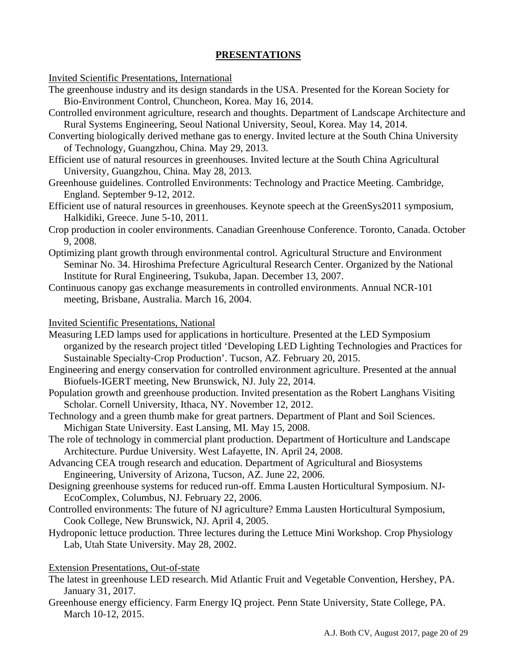#### **PRESENTATIONS**

Invited Scientific Presentations, International

- The greenhouse industry and its design standards in the USA. Presented for the Korean Society for Bio-Environment Control, Chuncheon, Korea. May 16, 2014.
- Controlled environment agriculture, research and thoughts. Department of Landscape Architecture and Rural Systems Engineering, Seoul National University, Seoul, Korea. May 14, 2014.
- Converting biologically derived methane gas to energy. Invited lecture at the South China University of Technology, Guangzhou, China. May 29, 2013.
- Efficient use of natural resources in greenhouses. Invited lecture at the South China Agricultural University, Guangzhou, China. May 28, 2013.
- Greenhouse guidelines. Controlled Environments: Technology and Practice Meeting. Cambridge, England. September 9-12, 2012.
- Efficient use of natural resources in greenhouses. Keynote speech at the GreenSys2011 symposium, Halkidiki, Greece. June 5-10, 2011.
- Crop production in cooler environments. Canadian Greenhouse Conference. Toronto, Canada. October 9, 2008.
- Optimizing plant growth through environmental control. Agricultural Structure and Environment Seminar No. 34. Hiroshima Prefecture Agricultural Research Center. Organized by the National Institute for Rural Engineering, Tsukuba, Japan. December 13, 2007.
- Continuous canopy gas exchange measurements in controlled environments. Annual NCR-101 meeting, Brisbane, Australia. March 16, 2004.

Invited Scientific Presentations, National

- Measuring LED lamps used for applications in horticulture. Presented at the LED Symposium organized by the research project titled 'Developing LED Lighting Technologies and Practices for Sustainable Specialty‐Crop Production'. Tucson, AZ. February 20, 2015.
- Engineering and energy conservation for controlled environment agriculture. Presented at the annual Biofuels-IGERT meeting, New Brunswick, NJ. July 22, 2014.
- Population growth and greenhouse production. Invited presentation as the Robert Langhans Visiting Scholar. Cornell University, Ithaca, NY. November 12, 2012.
- Technology and a green thumb make for great partners. Department of Plant and Soil Sciences. Michigan State University. East Lansing, MI. May 15, 2008.
- The role of technology in commercial plant production. Department of Horticulture and Landscape Architecture. Purdue University. West Lafayette, IN. April 24, 2008.
- Advancing CEA trough research and education. Department of Agricultural and Biosystems Engineering, University of Arizona, Tucson, AZ. June 22, 2006.
- Designing greenhouse systems for reduced run-off. Emma Lausten Horticultural Symposium. NJ-EcoComplex, Columbus, NJ. February 22, 2006.
- Controlled environments: The future of NJ agriculture? Emma Lausten Horticultural Symposium, Cook College, New Brunswick, NJ. April 4, 2005.
- Hydroponic lettuce production. Three lectures during the Lettuce Mini Workshop. Crop Physiology Lab, Utah State University. May 28, 2002.

## Extension Presentations, Out-of-state

- The latest in greenhouse LED research. Mid Atlantic Fruit and Vegetable Convention, Hershey, PA. January 31, 2017.
- Greenhouse energy efficiency. Farm Energy IQ project. Penn State University, State College, PA. March 10-12, 2015.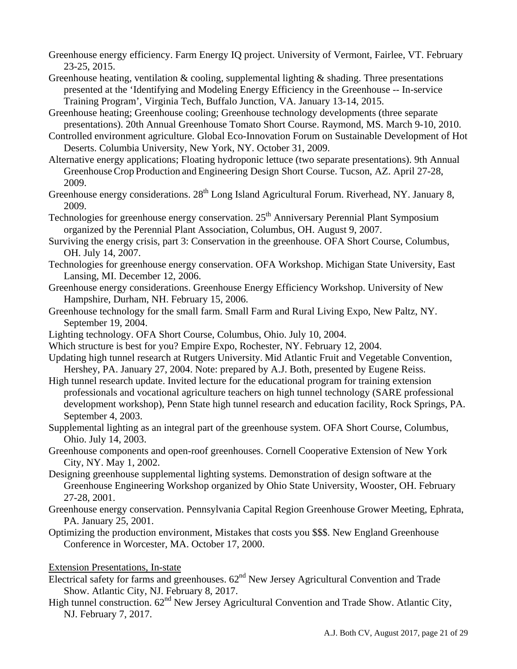- Greenhouse energy efficiency. Farm Energy IQ project. University of Vermont, Fairlee, VT. February 23-25, 2015.
- Greenhouse heating, ventilation & cooling, supplemental lighting  $\&$  shading. Three presentations presented at the 'Identifying and Modeling Energy Efficiency in the Greenhouse -- In-service Training Program', Virginia Tech, Buffalo Junction, VA. January 13-14, 2015.
- Greenhouse heating; Greenhouse cooling; Greenhouse technology developments (three separate presentations). 20th Annual Greenhouse Tomato Short Course. Raymond, MS. March 9-10, 2010.
- Controlled environment agriculture. Global Eco-Innovation Forum on Sustainable Development of Hot Deserts. Columbia University, New York, NY. October 31, 2009.
- Alternative energy applications; Floating hydroponic lettuce (two separate presentations). 9th Annual GreenhouseCrop Production and Engineering Design Short Course. Tucson, AZ. April 27-28, 2009.
- Greenhouse energy considerations. 28<sup>th</sup> Long Island Agricultural Forum. Riverhead, NY. January 8, 2009.
- Technologies for greenhouse energy conservation. 25<sup>th</sup> Anniversary Perennial Plant Symposium organized by the Perennial Plant Association, Columbus, OH. August 9, 2007.
- Surviving the energy crisis, part 3: Conservation in the greenhouse. OFA Short Course, Columbus, OH. July 14, 2007.
- Technologies for greenhouse energy conservation. OFA Workshop. Michigan State University, East Lansing, MI. December 12, 2006.
- Greenhouse energy considerations. Greenhouse Energy Efficiency Workshop. University of New Hampshire, Durham, NH. February 15, 2006.
- Greenhouse technology for the small farm. Small Farm and Rural Living Expo, New Paltz, NY. September 19, 2004.
- Lighting technology. OFA Short Course, Columbus, Ohio. July 10, 2004.
- Which structure is best for you? Empire Expo, Rochester, NY. February 12, 2004.
- Updating high tunnel research at Rutgers University. Mid Atlantic Fruit and Vegetable Convention, Hershey, PA. January 27, 2004. Note: prepared by A.J. Both, presented by Eugene Reiss.
- High tunnel research update. Invited lecture for the educational program for training extension professionals and vocational agriculture teachers on high tunnel technology (SARE professional development workshop), Penn State high tunnel research and education facility, Rock Springs, PA. September 4, 2003.
- Supplemental lighting as an integral part of the greenhouse system. OFA Short Course, Columbus, Ohio. July 14, 2003.
- Greenhouse components and open-roof greenhouses. Cornell Cooperative Extension of New York City, NY. May 1, 2002.
- Designing greenhouse supplemental lighting systems. Demonstration of design software at the Greenhouse Engineering Workshop organized by Ohio State University, Wooster, OH. February 27-28, 2001.
- Greenhouse energy conservation. Pennsylvania Capital Region Greenhouse Grower Meeting, Ephrata, PA. January 25, 2001.
- Optimizing the production environment, Mistakes that costs you \$\$\$. New England Greenhouse Conference in Worcester, MA. October 17, 2000.
- Extension Presentations, In-state
- Electrical safety for farms and greenhouses.  $62<sup>nd</sup>$  New Jersey Agricultural Convention and Trade Show. Atlantic City, NJ. February 8, 2017.
- High tunnel construction.  $62<sup>nd</sup>$  New Jersey Agricultural Convention and Trade Show. Atlantic City, NJ. February 7, 2017.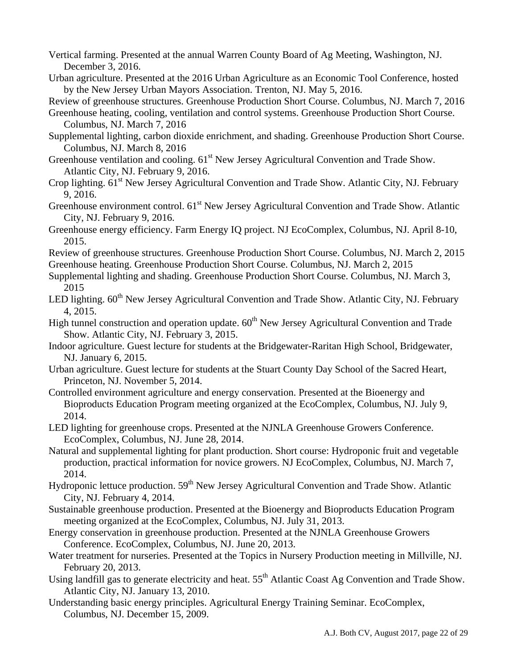- Vertical farming. Presented at the annual Warren County Board of Ag Meeting, Washington, NJ. December 3, 2016.
- Urban agriculture. Presented at the 2016 Urban Agriculture as an Economic Tool Conference, hosted by the New Jersey Urban Mayors Association. Trenton, NJ. May 5, 2016.

Review of greenhouse structures. Greenhouse Production Short Course. Columbus, NJ. March 7, 2016

- Greenhouse heating, cooling, ventilation and control systems. Greenhouse Production Short Course. Columbus, NJ. March 7, 2016
- Supplemental lighting, carbon dioxide enrichment, and shading. Greenhouse Production Short Course. Columbus, NJ. March 8, 2016
- Greenhouse ventilation and cooling.  $61<sup>st</sup>$  New Jersey Agricultural Convention and Trade Show. Atlantic City, NJ. February 9, 2016.
- Crop lighting. 61<sup>st</sup> New Jersey Agricultural Convention and Trade Show. Atlantic City, NJ. February 9, 2016.
- Greenhouse environment control. 61<sup>st</sup> New Jersey Agricultural Convention and Trade Show. Atlantic City, NJ. February 9, 2016.
- Greenhouse energy efficiency. Farm Energy IQ project. NJ EcoComplex, Columbus, NJ. April 8-10, 2015.
- Review of greenhouse structures. Greenhouse Production Short Course. Columbus, NJ. March 2, 2015
- Greenhouse heating. Greenhouse Production Short Course. Columbus, NJ. March 2, 2015
- Supplemental lighting and shading. Greenhouse Production Short Course. Columbus, NJ. March 3, 2015
- LED lighting. 60<sup>th</sup> New Jersey Agricultural Convention and Trade Show. Atlantic City, NJ. February 4, 2015.
- High tunnel construction and operation update. 60<sup>th</sup> New Jersey Agricultural Convention and Trade Show. Atlantic City, NJ. February 3, 2015.
- Indoor agriculture. Guest lecture for students at the Bridgewater-Raritan High School, Bridgewater, NJ. January 6, 2015.
- Urban agriculture. Guest lecture for students at the Stuart County Day School of the Sacred Heart, Princeton, NJ. November 5, 2014.
- Controlled environment agriculture and energy conservation. Presented at the Bioenergy and Bioproducts Education Program meeting organized at the EcoComplex, Columbus, NJ. July 9, 2014.
- LED lighting for greenhouse crops. Presented at the NJNLA Greenhouse Growers Conference. EcoComplex, Columbus, NJ. June 28, 2014.
- Natural and supplemental lighting for plant production. Short course: Hydroponic fruit and vegetable production, practical information for novice growers. NJ EcoComplex, Columbus, NJ. March 7, 2014.
- Hydroponic lettuce production. 59<sup>th</sup> New Jersey Agricultural Convention and Trade Show. Atlantic City, NJ. February 4, 2014.
- Sustainable greenhouse production. Presented at the Bioenergy and Bioproducts Education Program meeting organized at the EcoComplex, Columbus, NJ. July 31, 2013.
- Energy conservation in greenhouse production. Presented at the NJNLA Greenhouse Growers Conference. EcoComplex, Columbus, NJ. June 20, 2013.
- Water treatment for nurseries. Presented at the Topics in Nursery Production meeting in Millville, NJ. February 20, 2013.
- Using landfill gas to generate electricity and heat.  $55<sup>th</sup>$  Atlantic Coast Ag Convention and Trade Show. Atlantic City, NJ. January 13, 2010.
- Understanding basic energy principles. Agricultural Energy Training Seminar. EcoComplex, Columbus, NJ. December 15, 2009.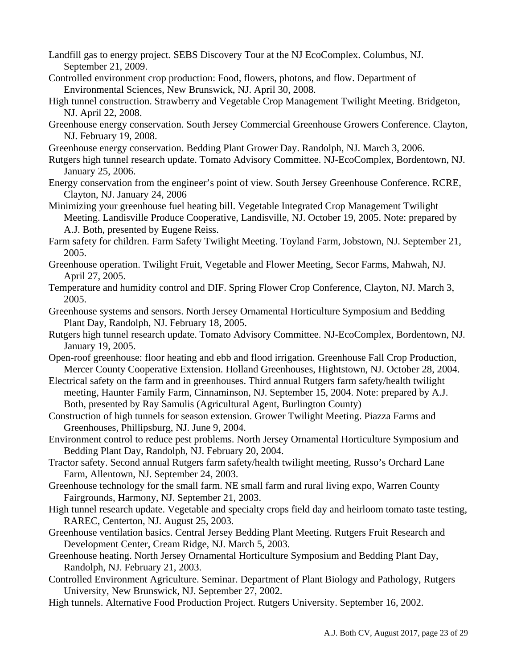- Landfill gas to energy project. SEBS Discovery Tour at the NJ EcoComplex. Columbus, NJ. September 21, 2009.
- Controlled environment crop production: Food, flowers, photons, and flow. Department of Environmental Sciences, New Brunswick, NJ. April 30, 2008.
- High tunnel construction. Strawberry and Vegetable Crop Management Twilight Meeting. Bridgeton, NJ. April 22, 2008.
- Greenhouse energy conservation. South Jersey Commercial Greenhouse Growers Conference. Clayton, NJ. February 19, 2008.
- Greenhouse energy conservation. Bedding Plant Grower Day. Randolph, NJ. March 3, 2006.
- Rutgers high tunnel research update. Tomato Advisory Committee. NJ-EcoComplex, Bordentown, NJ. January 25, 2006.
- Energy conservation from the engineer's point of view. South Jersey Greenhouse Conference. RCRE, Clayton, NJ. January 24, 2006

Minimizing your greenhouse fuel heating bill. Vegetable Integrated Crop Management Twilight Meeting. Landisville Produce Cooperative, Landisville, NJ. October 19, 2005. Note: prepared by A.J. Both, presented by Eugene Reiss.

- Farm safety for children. Farm Safety Twilight Meeting. Toyland Farm, Jobstown, NJ. September 21, 2005.
- Greenhouse operation. Twilight Fruit, Vegetable and Flower Meeting, Secor Farms, Mahwah, NJ. April 27, 2005.
- Temperature and humidity control and DIF. Spring Flower Crop Conference, Clayton, NJ. March 3, 2005.
- Greenhouse systems and sensors. North Jersey Ornamental Horticulture Symposium and Bedding Plant Day, Randolph, NJ. February 18, 2005.
- Rutgers high tunnel research update. Tomato Advisory Committee. NJ-EcoComplex, Bordentown, NJ. January 19, 2005.
- Open-roof greenhouse: floor heating and ebb and flood irrigation. Greenhouse Fall Crop Production, Mercer County Cooperative Extension. Holland Greenhouses, Hightstown, NJ. October 28, 2004.
- Electrical safety on the farm and in greenhouses. Third annual Rutgers farm safety/health twilight meeting, Haunter Family Farm, Cinnaminson, NJ. September 15, 2004. Note: prepared by A.J. Both, presented by Ray Samulis (Agricultural Agent, Burlington County)
- Construction of high tunnels for season extension. Grower Twilight Meeting. Piazza Farms and Greenhouses, Phillipsburg, NJ. June 9, 2004.
- Environment control to reduce pest problems. North Jersey Ornamental Horticulture Symposium and Bedding Plant Day, Randolph, NJ. February 20, 2004.
- Tractor safety. Second annual Rutgers farm safety/health twilight meeting, Russo's Orchard Lane Farm, Allentown, NJ. September 24, 2003.
- Greenhouse technology for the small farm. NE small farm and rural living expo, Warren County Fairgrounds, Harmony, NJ. September 21, 2003.
- High tunnel research update. Vegetable and specialty crops field day and heirloom tomato taste testing, RAREC, Centerton, NJ. August 25, 2003.
- Greenhouse ventilation basics. Central Jersey Bedding Plant Meeting. Rutgers Fruit Research and Development Center, Cream Ridge, NJ. March 5, 2003.
- Greenhouse heating. North Jersey Ornamental Horticulture Symposium and Bedding Plant Day, Randolph, NJ. February 21, 2003.
- Controlled Environment Agriculture. Seminar. Department of Plant Biology and Pathology, Rutgers University, New Brunswick, NJ. September 27, 2002.
- High tunnels. Alternative Food Production Project. Rutgers University. September 16, 2002.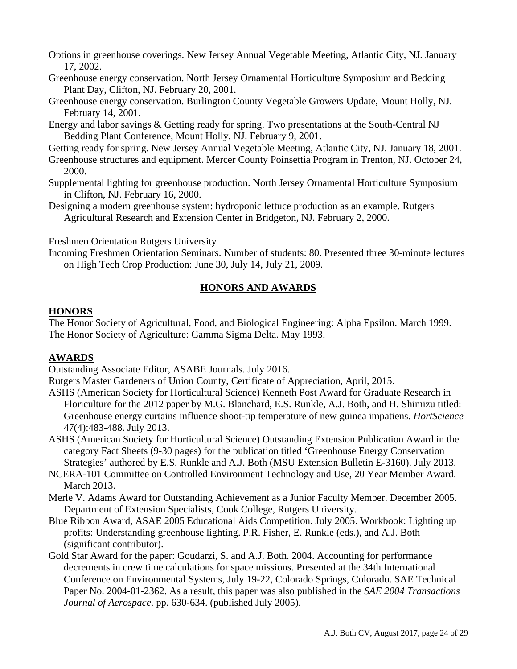Options in greenhouse coverings. New Jersey Annual Vegetable Meeting, Atlantic City, NJ. January 17, 2002.

- Greenhouse energy conservation. North Jersey Ornamental Horticulture Symposium and Bedding Plant Day, Clifton, NJ. February 20, 2001.
- Greenhouse energy conservation. Burlington County Vegetable Growers Update, Mount Holly, NJ. February 14, 2001.
- Energy and labor savings & Getting ready for spring. Two presentations at the South-Central NJ Bedding Plant Conference, Mount Holly, NJ. February 9, 2001.

Getting ready for spring. New Jersey Annual Vegetable Meeting, Atlantic City, NJ. January 18, 2001.

- Greenhouse structures and equipment. Mercer County Poinsettia Program in Trenton, NJ. October 24, 2000.
- Supplemental lighting for greenhouse production. North Jersey Ornamental Horticulture Symposium in Clifton, NJ. February 16, 2000.

Designing a modern greenhouse system: hydroponic lettuce production as an example. Rutgers Agricultural Research and Extension Center in Bridgeton, NJ. February 2, 2000.

Freshmen Orientation Rutgers University

Incoming Freshmen Orientation Seminars. Number of students: 80. Presented three 30-minute lectures on High Tech Crop Production: June 30, July 14, July 21, 2009.

## **HONORS AND AWARDS**

## **HONORS**

The Honor Society of Agricultural, Food, and Biological Engineering: Alpha Epsilon. March 1999. The Honor Society of Agriculture: Gamma Sigma Delta. May 1993.

## **AWARDS**

Outstanding Associate Editor, ASABE Journals. July 2016.

Rutgers Master Gardeners of Union County, Certificate of Appreciation, April, 2015.

- ASHS (American Society for Horticultural Science) Kenneth Post Award for Graduate Research in Floriculture for the 2012 paper by M.G. Blanchard, E.S. Runkle, A.J. Both, and H. Shimizu titled: Greenhouse energy curtains influence shoot-tip temperature of new guinea impatiens. *HortScience* 47(4):483-488. July 2013.
- ASHS (American Society for Horticultural Science) Outstanding Extension Publication Award in the category Fact Sheets (9-30 pages) for the publication titled 'Greenhouse Energy Conservation Strategies' authored by E.S. Runkle and A.J. Both (MSU Extension Bulletin E-3160). July 2013.
- NCERA-101 Committee on Controlled Environment Technology and Use, 20 Year Member Award. March 2013.
- Merle V. Adams Award for Outstanding Achievement as a Junior Faculty Member. December 2005. Department of Extension Specialists, Cook College, Rutgers University.
- Blue Ribbon Award, ASAE 2005 Educational Aids Competition. July 2005. Workbook: Lighting up profits: Understanding greenhouse lighting. P.R. Fisher, E. Runkle (eds.), and A.J. Both (significant contributor).
- Gold Star Award for the paper: Goudarzi, S. and A.J. Both. 2004. Accounting for performance decrements in crew time calculations for space missions. Presented at the 34th International Conference on Environmental Systems, July 19-22, Colorado Springs, Colorado. SAE Technical Paper No. 2004-01-2362. As a result, this paper was also published in the *SAE 2004 Transactions Journal of Aerospace*. pp. 630-634. (published July 2005).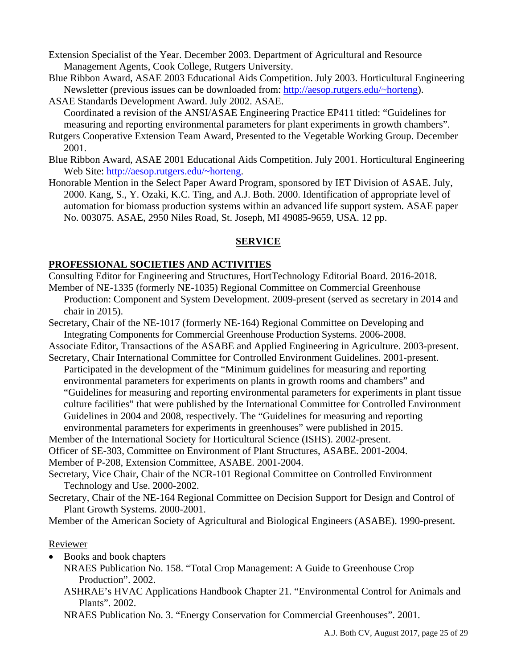Extension Specialist of the Year. December 2003. Department of Agricultural and Resource Management Agents, Cook College, Rutgers University.

- Blue Ribbon Award, ASAE 2003 Educational Aids Competition. July 2003. Horticultural Engineering Newsletter (previous issues can be downloaded from: http://aesop.rutgers.edu/~horteng).
- ASAE Standards Development Award. July 2002. ASAE.

Coordinated a revision of the ANSI/ASAE Engineering Practice EP411 titled: "Guidelines for measuring and reporting environmental parameters for plant experiments in growth chambers".

- Rutgers Cooperative Extension Team Award, Presented to the Vegetable Working Group. December 2001.
- Blue Ribbon Award, ASAE 2001 Educational Aids Competition. July 2001. Horticultural Engineering Web Site: http://aesop.rutgers.edu/~horteng.
- Honorable Mention in the Select Paper Award Program, sponsored by IET Division of ASAE. July, 2000. Kang, S., Y. Ozaki, K.C. Ting, and A.J. Both. 2000. Identification of appropriate level of automation for biomass production systems within an advanced life support system. ASAE paper No. 003075. ASAE, 2950 Niles Road, St. Joseph, MI 49085-9659, USA. 12 pp.

## **SERVICE**

## **PROFESSIONAL SOCIETIES AND ACTIVITIES**

- Consulting Editor for Engineering and Structures, HortTechnology Editorial Board. 2016-2018.
- Member of NE-1335 (formerly NE-1035) Regional Committee on Commercial Greenhouse
- Production: Component and System Development. 2009-present (served as secretary in 2014 and chair in 2015).
- Secretary, Chair of the NE-1017 (formerly NE-164) Regional Committee on Developing and Integrating Components for Commercial Greenhouse Production Systems. 2006-2008.

Associate Editor, Transactions of the ASABE and Applied Engineering in Agriculture. 2003-present. Secretary, Chair International Committee for Controlled Environment Guidelines. 2001-present.

Participated in the development of the "Minimum guidelines for measuring and reporting environmental parameters for experiments on plants in growth rooms and chambers" and "Guidelines for measuring and reporting environmental parameters for experiments in plant tissue culture facilities" that were published by the International Committee for Controlled Environment Guidelines in 2004 and 2008, respectively. The "Guidelines for measuring and reporting environmental parameters for experiments in greenhouses" were published in 2015.

Member of the International Society for Horticultural Science (ISHS). 2002-present.

Officer of SE-303, Committee on Environment of Plant Structures, ASABE. 2001-2004.

Member of P-208, Extension Committee, ASABE. 2001-2004.

- Secretary, Vice Chair, Chair of the NCR-101 Regional Committee on Controlled Environment Technology and Use. 2000-2002.
- Secretary, Chair of the NE-164 Regional Committee on Decision Support for Design and Control of Plant Growth Systems. 2000-2001.

Member of the American Society of Agricultural and Biological Engineers (ASABE). 1990-present.

## Reviewer

- Books and book chapters
	- NRAES Publication No. 158. "Total Crop Management: A Guide to Greenhouse Crop Production". 2002.
	- ASHRAE's HVAC Applications Handbook Chapter 21. "Environmental Control for Animals and Plants". 2002.

NRAES Publication No. 3. "Energy Conservation for Commercial Greenhouses". 2001.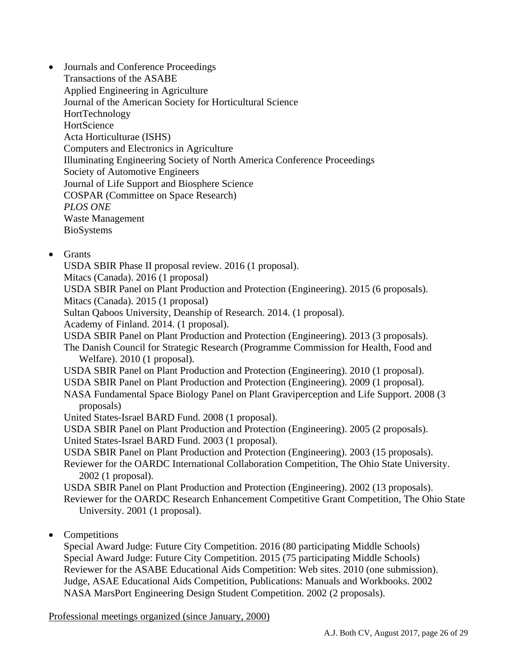- Journals and Conference Proceedings Transactions of the ASABE Applied Engineering in Agriculture Journal of the American Society for Horticultural Science HortTechnology **HortScience**  Acta Horticulturae (ISHS) Computers and Electronics in Agriculture Illuminating Engineering Society of North America Conference Proceedings Society of Automotive Engineers Journal of Life Support and Biosphere Science COSPAR (Committee on Space Research) *PLOS ONE*  Waste Management BioSystems
- Grants

USDA SBIR Phase II proposal review. 2016 (1 proposal).

Mitacs (Canada). 2016 (1 proposal)

 USDA SBIR Panel on Plant Production and Protection (Engineering). 2015 (6 proposals). Mitacs (Canada). 2015 (1 proposal)

Sultan Qaboos University, Deanship of Research. 2014. (1 proposal).

Academy of Finland. 2014. (1 proposal).

USDA SBIR Panel on Plant Production and Protection (Engineering). 2013 (3 proposals).

The Danish Council for Strategic Research (Programme Commission for Health, Food and Welfare). 2010 (1 proposal).

USDA SBIR Panel on Plant Production and Protection (Engineering). 2010 (1 proposal).

USDA SBIR Panel on Plant Production and Protection (Engineering). 2009 (1 proposal).

NASA Fundamental Space Biology Panel on Plant Graviperception and Life Support. 2008 (3 proposals)

United States-Israel BARD Fund. 2008 (1 proposal).

USDA SBIR Panel on Plant Production and Protection (Engineering). 2005 (2 proposals).

United States-Israel BARD Fund. 2003 (1 proposal).

USDA SBIR Panel on Plant Production and Protection (Engineering). 2003 (15 proposals).

Reviewer for the OARDC International Collaboration Competition, The Ohio State University. 2002 (1 proposal).

USDA SBIR Panel on Plant Production and Protection (Engineering). 2002 (13 proposals).

Reviewer for the OARDC Research Enhancement Competitive Grant Competition, The Ohio State University. 2001 (1 proposal).

• Competitions

Special Award Judge: Future City Competition. 2016 (80 participating Middle Schools) Special Award Judge: Future City Competition. 2015 (75 participating Middle Schools) Reviewer for the ASABE Educational Aids Competition: Web sites. 2010 (one submission). Judge, ASAE Educational Aids Competition, Publications: Manuals and Workbooks. 2002 NASA MarsPort Engineering Design Student Competition. 2002 (2 proposals).

Professional meetings organized (since January, 2000)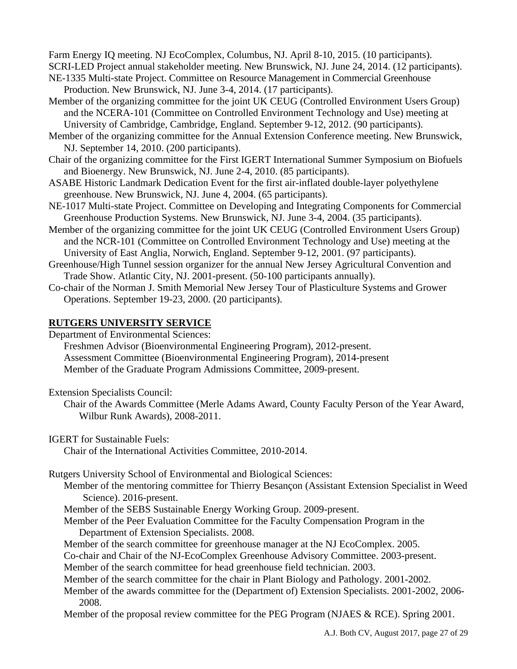Farm Energy IQ meeting. NJ EcoComplex, Columbus, NJ. April 8-10, 2015. (10 participants). SCRI-LED Project annual stakeholder meeting. New Brunswick, NJ. June 24, 2014. (12 participants).

- NE-1335 Multi-state Project. Committee on Resource Management in Commercial Greenhouse Production. New Brunswick, NJ. June 3-4, 2014. (17 participants).
- Member of the organizing committee for the joint UK CEUG (Controlled Environment Users Group) and the NCERA-101 (Committee on Controlled Environment Technology and Use) meeting at University of Cambridge, Cambridge, England. September 9-12, 2012. (90 participants).
- Member of the organizing committee for the Annual Extension Conference meeting. New Brunswick, NJ. September 14, 2010. (200 participants).
- Chair of the organizing committee for the First IGERT International Summer Symposium on Biofuels and Bioenergy. New Brunswick, NJ. June 2-4, 2010. (85 participants).
- ASABE Historic Landmark Dedication Event for the first air-inflated double-layer polyethylene greenhouse. New Brunswick, NJ. June 4, 2004. (65 participants).
- NE-1017 Multi-state Project. Committee on Developing and Integrating Components for Commercial Greenhouse Production Systems. New Brunswick, NJ. June 3-4, 2004. (35 participants).
- Member of the organizing committee for the joint UK CEUG (Controlled Environment Users Group) and the NCR-101 (Committee on Controlled Environment Technology and Use) meeting at the University of East Anglia, Norwich, England. September 9-12, 2001. (97 participants).
- Greenhouse/High Tunnel session organizer for the annual New Jersey Agricultural Convention and Trade Show. Atlantic City, NJ. 2001-present. (50-100 participants annually).
- Co-chair of the Norman J. Smith Memorial New Jersey Tour of Plasticulture Systems and Grower Operations. September 19-23, 2000. (20 participants).

## **RUTGERS UNIVERSITY SERVICE**

Department of Environmental Sciences:

Freshmen Advisor (Bioenvironmental Engineering Program), 2012-present. Assessment Committee (Bioenvironmental Engineering Program), 2014-present Member of the Graduate Program Admissions Committee, 2009-present.

Extension Specialists Council:

Chair of the Awards Committee (Merle Adams Award, County Faculty Person of the Year Award, Wilbur Runk Awards), 2008-2011.

IGERT for Sustainable Fuels:

Chair of the International Activities Committee, 2010-2014.

Rutgers University School of Environmental and Biological Sciences:

 Member of the mentoring committee for Thierry Besançon (Assistant Extension Specialist in Weed Science). 2016-present.

Member of the SEBS Sustainable Energy Working Group. 2009-present.

- Member of the Peer Evaluation Committee for the Faculty Compensation Program in the Department of Extension Specialists. 2008.
- Member of the search committee for greenhouse manager at the NJ EcoComplex. 2005.
- Co-chair and Chair of the NJ-EcoComplex Greenhouse Advisory Committee. 2003-present. Member of the search committee for head greenhouse field technician. 2003.

Member of the search committee for the chair in Plant Biology and Pathology. 2001-2002.

Member of the awards committee for the (Department of) Extension Specialists. 2001-2002, 2006- 2008.

Member of the proposal review committee for the PEG Program (NJAES & RCE). Spring 2001.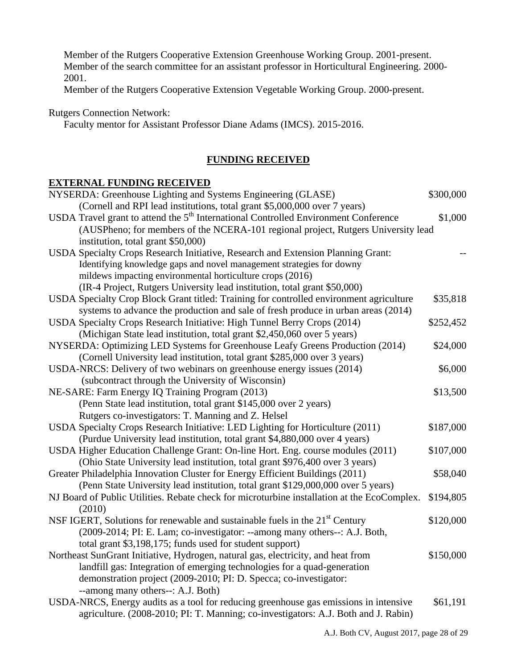Member of the Rutgers Cooperative Extension Greenhouse Working Group. 2001-present. Member of the search committee for an assistant professor in Horticultural Engineering. 2000- 2001.

Member of the Rutgers Cooperative Extension Vegetable Working Group. 2000-present.

Rutgers Connection Network:

Faculty mentor for Assistant Professor Diane Adams (IMCS). 2015-2016.

## **FUNDING RECEIVED**

## **EXTERNAL FUNDING RECEIVED**

| NYSERDA: Greenhouse Lighting and Systems Engineering (GLASE)                                    | \$300,000 |
|-------------------------------------------------------------------------------------------------|-----------|
| (Cornell and RPI lead institutions, total grant \$5,000,000 over 7 years)                       |           |
| USDA Travel grant to attend the 5 <sup>th</sup> International Controlled Environment Conference | \$1,000   |
| (AUSPheno; for members of the NCERA-101 regional project, Rutgers University lead               |           |
| institution, total grant \$50,000)                                                              |           |
| USDA Specialty Crops Research Initiative, Research and Extension Planning Grant:                |           |
| Identifying knowledge gaps and novel management strategies for downy                            |           |
| mildews impacting environmental horticulture crops (2016)                                       |           |
| (IR-4 Project, Rutgers University lead institution, total grant \$50,000)                       |           |
| USDA Specialty Crop Block Grant titled: Training for controlled environment agriculture         | \$35,818  |
| systems to advance the production and sale of fresh produce in urban areas (2014)               |           |
| USDA Specialty Crops Research Initiative: High Tunnel Berry Crops (2014)                        | \$252,452 |
| (Michigan State lead institution, total grant \$2,450,060 over 5 years)                         |           |
| NYSERDA: Optimizing LED Systems for Greenhouse Leafy Greens Production (2014)                   | \$24,000  |
| (Cornell University lead institution, total grant \$285,000 over 3 years)                       |           |
| USDA-NRCS: Delivery of two webinars on greenhouse energy issues (2014)                          | \$6,000   |
| (subcontract through the University of Wisconsin)                                               |           |
| NE-SARE: Farm Energy IQ Training Program (2013)                                                 | \$13,500  |
| (Penn State lead institution, total grant \$145,000 over 2 years)                               |           |
| Rutgers co-investigators: T. Manning and Z. Helsel                                              |           |
| USDA Specialty Crops Research Initiative: LED Lighting for Horticulture (2011)                  | \$187,000 |
| (Purdue University lead institution, total grant \$4,880,000 over 4 years)                      |           |
| USDA Higher Education Challenge Grant: On-line Hort. Eng. course modules (2011)                 | \$107,000 |
| (Ohio State University lead institution, total grant \$976,400 over 3 years)                    |           |
| Greater Philadelphia Innovation Cluster for Energy Efficient Buildings (2011)                   | \$58,040  |
| (Penn State University lead institution, total grant \$129,000,000 over 5 years)                |           |
| NJ Board of Public Utilities. Rebate check for microturbine installation at the EcoComplex.     | \$194,805 |
| (2010)                                                                                          |           |
| NSF IGERT, Solutions for renewable and sustainable fuels in the 21 <sup>st</sup> Century        | \$120,000 |
| (2009-2014; PI: E. Lam; co-investigator: --among many others--: A.J. Both,                      |           |
| total grant \$3,198,175; funds used for student support)                                        |           |
| Northeast SunGrant Initiative, Hydrogen, natural gas, electricity, and heat from                | \$150,000 |
| landfill gas: Integration of emerging technologies for a quad-generation                        |           |
| demonstration project (2009-2010; PI: D. Specca; co-investigator:                               |           |
| --among many others--: A.J. Both)                                                               |           |
| USDA-NRCS, Energy audits as a tool for reducing greenhouse gas emissions in intensive           | \$61,191  |
| agriculture. (2008-2010; PI: T. Manning; co-investigators: A.J. Both and J. Rabin)              |           |